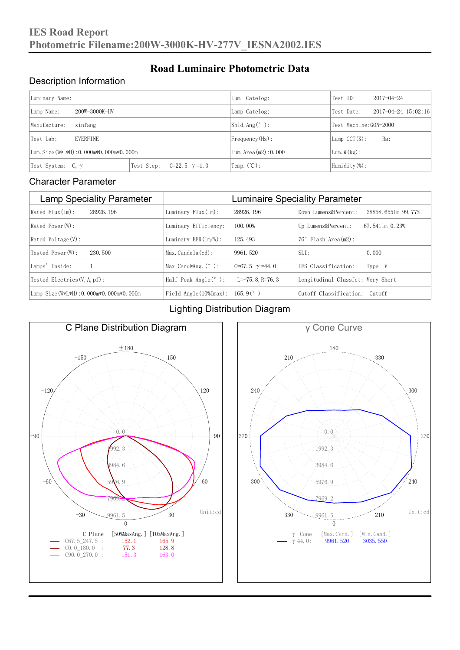### Description Information

| Luminary Name:                          |                                     | Lum. Catelog:                   | Test ID:                  | $2017 - 04 - 24$ |  |
|-----------------------------------------|-------------------------------------|---------------------------------|---------------------------|------------------|--|
| 200W-3000K-HV<br>Lamp Name:             | Lamp Catelog:                       | Test Date:                      | $2017 - 04 - 24$ 15:02:16 |                  |  |
| Manufacture:<br>xinfang                 |                                     | $\vert$ Sh1d. Ang $(^\circ$ ) : | Test Machine:GON-2000     |                  |  |
| <b>EVERFINE</b><br>Test Lab:            |                                     | $Frequency(Hz)$ :               | $Lamp$ CCT(K):            | Ra:              |  |
| Lum. Size (W*L*H): 0.000m*0.000m*0.000m |                                     | Lum. Area $(m2)$ : 0.000        | Lum. $W(kg)$ :            |                  |  |
| Test System: $C, \gamma$                | Test Step:<br>$C=22.5$ $\gamma=1.0$ | Temp. $({\mathbb C})$ :         | Humidity $(\%)$ :         |                  |  |

**Road Luminaire Photometric Data**

#### Character Parameter

| <b>Lamp Speciality Parameter</b>       | <b>Luminaire Speciality Parameter</b>                               |                          |                                   |                    |
|----------------------------------------|---------------------------------------------------------------------|--------------------------|-----------------------------------|--------------------|
| Rated Flux(1m):<br>28926, 196          | Luminary $Flux(ln)$ :                                               | 28926, 196               | Down Lumens&Percent:              | 28858.6551m 99.77% |
| Rated Power(W):                        | Luminary Efficiency:                                                | 100.00%                  | Up Lumens&Percent:                | 67.5411m 0.23%     |
| Rated Voltage (V):                     | Luminary $EER(\ln/W)$ :                                             | 125, 493                 | $76°$ Flash Area $(m2)$ :         |                    |
| Tested Power(W):<br>230, 500           | $Max. Candela(cd)$ :                                                | 9961.520                 | $SLI$ :                           | 0.000              |
| Lamps' Inside:                         | Max Cand@Ang. $(°)$ :                                               | $C=67.5$ $\gamma = 44.0$ | TES Classification:               | Type IV            |
| Tested Electrics $(V, A, pf)$ :        | Half Peak Angle $(°)$ :                                             | L=-75.8, R=76.3          | Longitudinal Classfct: Very Short |                    |
| Lamp Size(W*L*H): 0.000m*0.000m*0.000m | Field Angle $(10\text{\%} \text{Im} \text{ax})$ : 165.9 $(^\circ$ ) |                          | Cutoff Classification: Cutoff     |                    |

#### Lighting Distribution Diagram



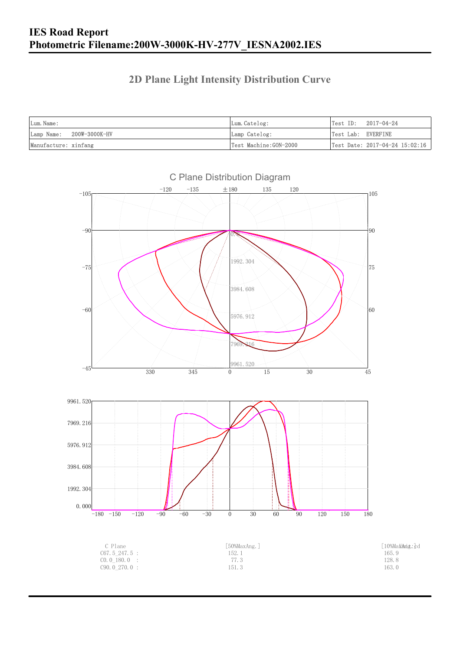## **2D Plane Light Intensity Distribution Curve**

| Lum. Name:               | Lum.Catelog:          | Test ID:<br>2017-04-24             |
|--------------------------|-----------------------|------------------------------------|
| Lamp Name: 200W-3000K-HV | Lamp Catelog:         | Test Lab: EVERFINE                 |
| Manufacture: xinfang     | Test Machine:GON-2000 | Test Date: $2017-04-24$ $15:02:16$ |

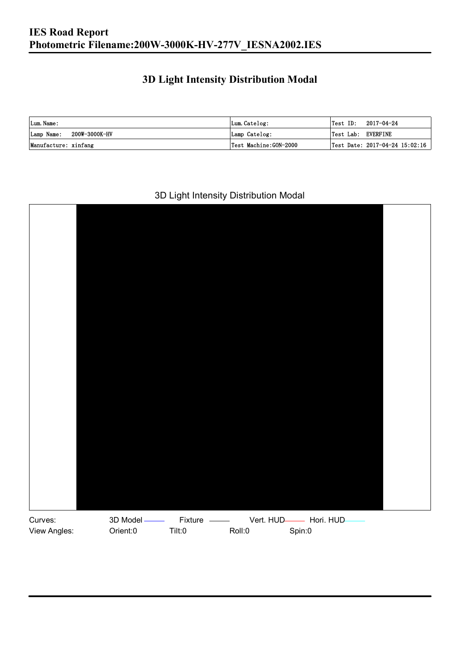## **3D Light Intensity Distribution Modal**

| Lum. Name:                  | Lum.Catelog:          |                    | $\textsf{Test ID:} \quad 2017-04-24$ |
|-----------------------------|-----------------------|--------------------|--------------------------------------|
| 200W-3000K-HV<br>Lamp Name: | Lamp Catelog:         | Test Lab: EVERFINE |                                      |
| Manufacture: xinfang        | Test Machine:GON-2000 |                    | Test Date: 2017-04-24 15:02:16       |

#### 3D Light Intensity Distribution Modal

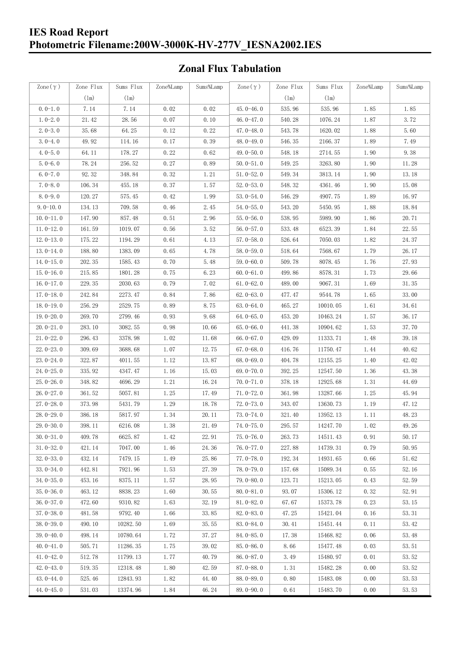#### **IES Road Report Photometric Filename:200W-3000K-HV-277V\_IESNA2002.IES**

## **Zonal Flux Tabulation**

| Zone $(\gamma)$ | Zone Flux     | Sums Flux | Zone%Lamp | Sums%Lamp | Zone $(\gamma)$ | Zone Flux | Sums Flux | Zone%Lamp | Sums%Lamp |
|-----------------|---------------|-----------|-----------|-----------|-----------------|-----------|-----------|-----------|-----------|
|                 | $(\text{lm})$ | (1m)      |           |           |                 | (1m)      | (1m)      |           |           |
| $0.0-1.0$       | 7.14          | 7.14      | 0.02      | 0.02      | $45.0 - 46.0$   | 535.96    | 535.96    | 1.85      | 1.85      |
| $1.0 - 2.0$     | 21.42         | 28.56     | 0.07      | 0.10      | 46.0 $-47.0$    | 540.28    | 1076.24   | 1.87      | 3.72      |
| $2.0 - 3.0$     | 35.68         | 64.25     | 0.12      | 0.22      | 47.0-48.0       | 543.78    | 1620.02   | 1.88      | 5.60      |
| $3.0 - 4.0$     | 49.92         | 114.16    | 0.17      | 0.39      | 48.0-49.0       | 546.35    | 2166.37   | 1.89      | 7.49      |
| $4.0 - 5.0$     | 64.11         | 178.27    | 0.22      | 0.62      | 49.0 $-50.0$    | 548.18    | 2714.55   | 1.90      | 9.38      |
| $5.0 - 6.0$     | 78.24         | 256.52    | 0.27      | 0.89      | $50.0 - 51.0$   | 549.25    | 3263.80   | 1.90      | 11.28     |
| $6.0 - 7.0$     | 92.32         | 348.84    | 0.32      | 1.21      | $51.0 - 52.0$   | 549.34    | 3813.14   | 1.90      | 13.18     |
| $7.0 - 8.0$     | 106.34        | 455.18    | 0.37      | 1.57      | $52.0 - 53.0$   | 548.32    | 4361.46   | 1.90      | 15.08     |
| $8.0 - 9.0$     | 120.27        | 575.45    | 0.42      | 1.99      | $53.0 - 54.0$   | 546.29    | 4907.75   | 1.89      | 16.97     |
| $9.0 - 10.0$    | 134.13        | 709.58    | 0.46      | 2.45      | $54.0 - 55.0$   | 543.20    | 5450.95   | 1.88      | 18.84     |
| $10.0 - 11.0$   | 147.90        | 857.48    | 0.51      | 2.96      | $55.0 - 56.0$   | 538.95    | 5989.90   | 1.86      | 20.71     |
| $11.0 - 12.0$   | 161.59        | 1019.07   | 0.56      | 3.52      | $56.0 - 57.0$   | 533.48    | 6523.39   | 1.84      | 22.55     |
| $12.0 - 13.0$   | 175.22        | 1194.29   | 0.61      | 4.13      | $57.0 - 58.0$   | 526.64    | 7050.03   | 1.82      | 24.37     |
| $13.0 - 14.0$   | 188.80        | 1383.09   | 0.65      | 4.78      | $58.0 - 59.0$   | 518.64    | 7568.67   | 1.79      | 26.17     |
| $14.0 - 15.0$   | 202.35        | 1585.43   | 0.70      | 5.48      | 59.0-60.0       | 509.78    | 8078.45   | 1.76      | 27.93     |
| $15.0 - 16.0$   | 215.85        | 1801.28   | 0.75      | 6.23      | $60.0 - 61.0$   | 499.86    | 8578.31   | 1.73      | 29.66     |
| $16.0 - 17.0$   | 229.35        | 2030.63   | 0.79      | 7.02      | $61.0 - 62.0$   | 489.00    | 9067.31   | 1.69      | 31.35     |
| $17.0 - 18.0$   | 242.84        | 2273.47   | 0.84      | 7.86      | $62.0 - 63.0$   | 477.47    | 9544.78   | 1.65      | 33.00     |
| $18.0 - 19.0$   | 256.29        | 2529.75   | 0.89      | 8.75      | $63.0 - 64.0$   | 465.27    | 10010.05  | 1.61      | 34.61     |
| $19.0 - 20.0$   | 269.70        | 2799.46   | 0.93      | 9.68      | $64.0 - 65.0$   | 453.20    | 10463.24  | 1.57      | 36.17     |
| $20.0 - 21.0$   | 283.10        | 3082.55   | 0.98      | 10.66     | $65.0 - 66.0$   | 441.38    | 10904.62  | 1.53      | 37.70     |
| $21.0 - 22.0$   | 296.43        | 3378.98   | 1.02      | 11.68     | 66.0 $-67.0$    | 429.09    | 11333.71  | 1.48      | 39.18     |
| $22.0 - 23.0$   | 309.69        | 3688.68   | 1.07      | 12.75     | $67.0 - 68.0$   | 416.76    | 11750.47  | 1.44      | 40.62     |
| $23.0 - 24.0$   | 322.87        | 4011.55   | 1.12      | 13.87     | $68.0 - 69.0$   | 404.78    | 12155.25  | 1.40      | 42.02     |
| $24.0 - 25.0$   | 335.92        | 4347.47   | 1.16      | 15.03     | $69.0 - 70.0$   | 392.25    | 12547.50  | 1.36      | 43.38     |
| $25.0 - 26.0$   | 348.82        | 4696.29   | 1.21      | 16.24     | $70.0 - 71.0$   | 378.18    | 12925.68  | 1.31      | 44.69     |
| $26.0 - 27.0$   | 361.52        | 5057.81   | 1.25      | 17.49     | $71.0 - 72.0$   | 361.98    | 13287.66  | 1.25      | 45.94     |
| $27.0 - 28.0$   | 373.98        | 5431.79   | 1.29      | 18.78     | $72.0 - 73.0$   | 343.07    | 13630.73  | 1.19      | 47.12     |
| $28.0 - 29.0$   | 386.18        | 5817.97   | 1.34      | 20.11     | $73.0 - 74.0$   | 321.40    | 13952.13  | 1.11      | 48.23     |
| $29.0 - 30.0$   | 398.11        | 6216.08   | 1.38      | 21.49     | $74.0 - 75.0$   | 295.57    | 14247.70  | 1.02      | 49.26     |
| $30.0 - 31.0$   | 409.78        | 6625.87   | 1.42      | 22.91     | $75.0 - 76.0$   | 263.73    | 14511.43  | 0.91      | 50.17     |
| $31.0 - 32.0$   | 421.14        | 7047.00   | 1.46      | 24.36     | $76.0 - 77.0$   | 227.88    | 14739.31  | 0.79      | 50.95     |
| $32.0 - 33.0$   | 432.14        | 7479.15   | 1.49      | 25.86     | $77.0 - 78.0$   | 192.34    | 14931.65  | 0.66      | 51.62     |
| $33.0 - 34.0$   | 442.81        | 7921.96   | 1.53      | 27.39     | $78.0 - 79.0$   | 157.68    | 15089.34  | 0.55      | 52.16     |
| $34.0 - 35.0$   | 453.16        | 8375.11   | 1.57      | 28.95     | 79.0-80.0       | 123.71    | 15213.05  | 0.43      | 52.59     |
| $35.0 - 36.0$   | 463.12        | 8838.23   | 1.60      | 30.55     | $80.0 - 81.0$   | 93.07     | 15306.12  | 0.32      | 52.91     |
| $36.0 - 37.0$   | 472.60        | 9310.82   | 1.63      | 32.19     | $81.0 - 82.0$   | 67.67     | 15373.78  | 0.23      | 53.15     |
| $37.0 - 38.0$   | 481.58        | 9792.40   | 1.66      | 33.85     | $82.0 - 83.0$   | 47.25     | 15421.04  | 0.16      | 53.31     |
| $38.0 - 39.0$   | 490.10        | 10282.50  | 1.69      | 35.55     | 83.0-84.0       | 30.41     | 15451.44  | 0.11      | 53.42     |
| $39.0 - 40.0$   | 498.14        | 10780.64  | 1.72      | 37.27     | $84.0 - 85.0$   | 17.38     | 15468.82  | 0.06      | 53.48     |
| $40.0 - 41.0$   | 505.71        | 11286.35  | 1.75      | 39.02     | 85.0-86.0       | 8.66      | 15477.48  | 0.03      | 53.51     |
| $41.0 - 42.0$   | 512.78        | 11799.13  | 1.77      | 40.79     | 86.0-87.0       | 3.49      | 15480.97  | 0.01      | 53.52     |
| $42.0 - 43.0$   | 519.35        | 12318.48  | 1.80      | 42.59     | $87.0 - 88.0$   | 1.31      | 15482.28  | 0.00      | 53.52     |
| $43.0 - 44.0$   | 525.46        | 12843.93  | 1.82      | 44.40     | $88.0 - 89.0$   | 0.80      | 15483.08  | 0.00      | 53.53     |
| 44.0-45.0       | 531.03        | 13374.96  | 1.84      | 46.24     | 89.0-90.0       | 0.61      | 15483.70  | 0.00      | 53.53     |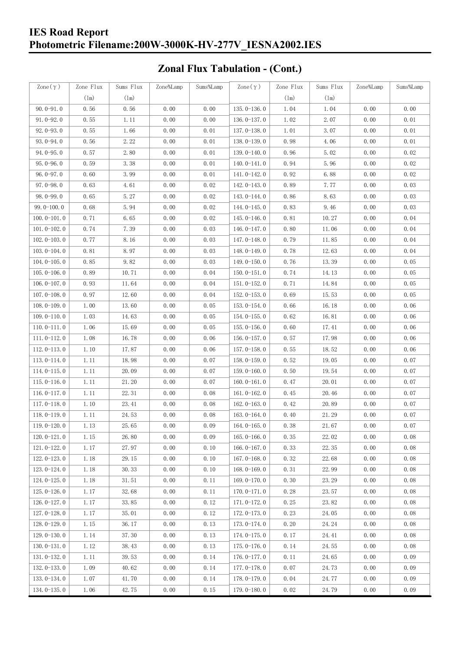## **IES Road Report Photometric Filename:200W-3000K-HV-277V\_IESNA2002.IES**

## **Zonal Flux Tabulation - (Cont.)**

| Zone $(\gamma)$ | Zone Flux | Sums Flux | Zone%Lamp | Sums%Lamp | Zone $(\gamma)$ | Zone Flux | Sums Flux | Zone%Lamp | Sums%Lamp |
|-----------------|-----------|-----------|-----------|-----------|-----------------|-----------|-----------|-----------|-----------|
|                 | (1m)      | (1m)      |           |           |                 | (1m)      | (1m)      |           |           |
| $90.0 - 91.0$   | 0.56      | 0.56      | 0.00      | 0.00      | $135.0 - 136.0$ | 1.04      | 1.04      | 0.00      | 0.00      |
| $91.0 - 92.0$   | 0.55      | 1.11      | 0.00      | 0.00      | $136.0 - 137.0$ | 1.02      | 2.07      | 0.00      | $0.01\,$  |
| $92.0 - 93.0$   | 0.55      | 1.66      | 0.00      | 0.01      | $137.0 - 138.0$ | 1.01      | 3.07      | 0.00      | 0.01      |
| $93.0 - 94.0$   | 0.56      | 2.22      | 0.00      | 0.01      | 138.0-139.0     | 0.98      | 4.06      | 0.00      | 0.01      |
| 94.0-95.0       | 0.57      | 2.80      | 0.00      | 0.01      | 139.0-140.0     | 0.96      | 5.02      | 0.00      | 0.02      |
| $95.0 - 96.0$   | 0.59      | 3.38      | 0.00      | 0.01      | $140.0 - 141.0$ | 0.94      | 5.96      | 0.00      | 0.02      |
| $96.0 - 97.0$   | 0.60      | 3.99      | 0.00      | 0.01      | $141.0 - 142.0$ | 0.92      | 6.88      | 0.00      | 0.02      |
| $97.0 - 98.0$   | 0.63      | 4.61      | 0.00      | 0.02      | 142.0-143.0     | 0.89      | 7.77      | 0.00      | 0.03      |
| $98.0 - 99.0$   | 0.65      | 5.27      | 0.00      | 0.02      | 143.0-144.0     | 0.86      | 8.63      | 0.00      | 0.03      |
| $99.0 - 100.0$  | 0.68      | 5.94      | 0.00      | 0.02      | 144.0-145.0     | 0.83      | 9.46      | 0.00      | 0.03      |
| $100.0 - 101.0$ | 0.71      | 6.65      | 0.00      | 0.02      | $145.0 - 146.0$ | 0.81      | 10.27     | 0.00      | 0.04      |
| $101.0 - 102.0$ | 0.74      | 7.39      | 0.00      | 0.03      | $146.0 - 147.0$ | 0.80      | 11.06     | 0.00      | 0.04      |
| $102.0 - 103.0$ | 0.77      | 8.16      | 0.00      | 0.03      | 147.0-148.0     | 0.79      | 11.85     | 0.00      | 0.04      |
| $103.0 - 104.0$ | 0.81      | 8.97      | 0.00      | 0.03      | 148.0-149.0     | 0.78      | 12.63     | 0.00      | 0.04      |
| $104.0 - 105.0$ | 0.85      | 9.82      | 0.00      | 0.03      | 149.0-150.0     | 0.76      | 13.39     | 0.00      | 0.05      |
| $105.0 - 106.0$ | 0.89      | 10.71     | 0.00      | 0.04      | $150.0 - 151.0$ | 0.74      | 14.13     | 0.00      | 0.05      |
| $106.0 - 107.0$ | 0.93      | 11.64     | 0.00      | 0.04      | $151.0 - 152.0$ | 0.71      | 14.84     | 0.00      | 0.05      |
| $107.0 - 108.0$ | 0.97      | 12.60     | 0.00      | 0.04      | $152.0 - 153.0$ | 0.69      | 15.53     | 0.00      | 0.05      |
| $108.0 - 109.0$ | 1.00      | 13.60     | 0.00      | 0.05      | $153.0 - 154.0$ | 0.66      | 16.18     | 0.00      | 0.06      |
| $109.0 - 110.0$ | 1.03      | 14.63     | 0.00      | 0.05      | $154.0 - 155.0$ | 0.62      | 16.81     | 0.00      | 0.06      |
| $110.0 - 111.0$ | 1.06      | 15.69     | 0.00      | 0.05      | $155.0 - 156.0$ | 0.60      | 17.41     | 0.00      | 0.06      |
| $111.0 - 112.0$ | 1.08      | 16.78     | 0.00      | 0.06      | $156.0 - 157.0$ | 0.57      | 17.98     | 0.00      | 0.06      |
| $112.0 - 113.0$ | 1.10      | 17.87     | 0.00      | 0.06      | 157.0-158.0     | 0.55      | 18.52     | 0.00      | 0.06      |
| $113.0 - 114.0$ | 1.11      | 18.98     | 0.00      | 0.07      | $158.0 - 159.0$ | 0.52      | 19.05     | 0.00      | 0.07      |
| $114.0 - 115.0$ | 1.11      | 20.09     | 0.00      | 0.07      | $159.0 - 160.0$ | 0.50      | 19.54     | 0.00      | 0.07      |
| $115.0 - 116.0$ | 1.11      | 21.20     | 0.00      | 0.07      | $160.0 - 161.0$ | 0.47      | 20.01     | 0.00      | 0.07      |
| $116.0 - 117.0$ | 1.11      | 22.31     | 0.00      | 0.08      | $161.0 - 162.0$ | 0.45      | 20.46     | 0.00      | 0.07      |
| $117.0 - 118.0$ | 1.10      | 23.41     | 0.00      | 0.08      | $162.0 - 163.0$ | 0.42      | 20.89     | 0.00      | 0.07      |
| $118.0 - 119.0$ | 1.11      | 24.53     | 0.00      | 0.08      | $163.0 - 164.0$ | $0.\,40$  | 21.29     | 0.00      | 0.07      |
| 119.0-120.0     | 1.13      | 25.65     | 0.00      | 0.09      | $164.0 - 165.0$ | 0.38      | 21.67     | 0.00      | 0.07      |
| $120.0 - 121.0$ | 1.15      | 26.80     | 0.00      | 0.09      | $165.0 - 166.0$ | 0.35      | 22.02     | 0.00      | 0.08      |
| $121.0 - 122.0$ | 1.17      | 27.97     | 0.00      | 0.10      | $166.0 - 167.0$ | 0.33      | 22.35     | 0.00      | 0.08      |
| $122.0 - 123.0$ | 1.18      | 29.15     | 0.00      | 0.10      | $167.0 - 168.0$ | 0.32      | 22.68     | 0.00      | 0.08      |
| $123.0 - 124.0$ | 1.18      | 30.33     | 0.00      | 0.10      | $168.0 - 169.0$ | 0.31      | 22.99     | 0.00      | 0.08      |
| $124.0 - 125.0$ | 1.18      | 31.51     | 0.00      | 0.11      | $169.0 - 170.0$ | 0.30      | 23.29     | 0.00      | 0.08      |
| $125.0 - 126.0$ | 1.17      | 32.68     | 0.00      | 0.11      | $170.0 - 171.0$ | 0.28      | 23.57     | 0.00      | 0.08      |
| $126.0 - 127.0$ | 1.17      | 33.85     | 0.00      | 0.12      | 171.0-172.0     | 0.25      | 23.82     | 0.00      | 0.08      |
| $127.0 - 128.0$ | 1.17      | 35.01     | 0.00      | 0.12      | $172.0 - 173.0$ | 0.23      | 24.05     | 0.00      | 0.08      |
| $128.0 - 129.0$ | 1.15      | 36.17     | 0.00      | 0.13      | 173.0-174.0     | 0.20      | 24.24     | 0.00      | 0.08      |
| $129.0 - 130.0$ | 1.14      | 37.30     | 0.00      | 0.13      | $174.0 - 175.0$ | 0.17      | 24.41     | 0.00      | 0.08      |
| $130.0 - 131.0$ | 1.12      | 38.43     | 0.00      | 0.13      | $175.0 - 176.0$ | 0.14      | 24.55     | 0.00      | 0.08      |
| $131.0 - 132.0$ | 1.11      | 39.53     | 0.00      | 0.14      | $176.0 - 177.0$ | 0.11      | 24.65     | 0.00      | 0.09      |
| $132.0 - 133.0$ | 1.09      | 40.62     | 0.00      | 0.14      | 177.0-178.0     | 0.07      | 24.73     | 0.00      | 0.09      |
| $133.0 - 134.0$ | 1.07      | 41.70     | 0.00      | 0.14      | 178.0-179.0     | 0.04      | 24.77     | 0.00      | 0.09      |
| $134.0 - 135.0$ | 1.06      | 42.75     | 0.00      | 0.15      | 179.0-180.0     | 0.02      | 24.79     | 0.00      | 0.09      |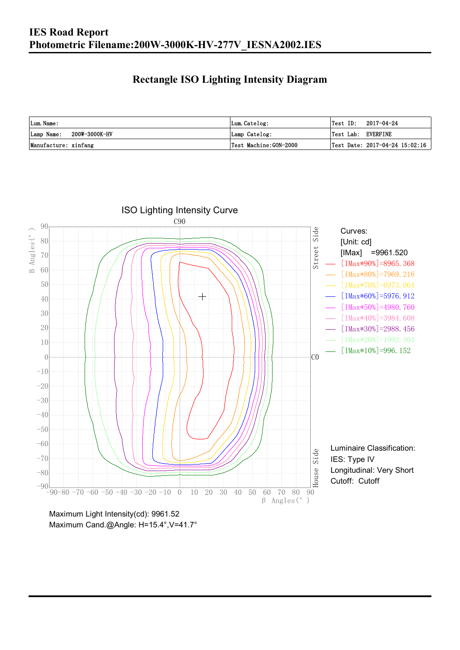### **Rectangle ISO Lighting Intensity Diagram**

| Lum. Name:                  | Lum.Catelog:          | $\textsf{Test ID:} \quad 2017-04-24$ |                                                |
|-----------------------------|-----------------------|--------------------------------------|------------------------------------------------|
| 200W-3000K-HV<br>Lamp Name: | Lamp Catelog:         | Test Lab: EVERFINE                   |                                                |
| Manufacture: xinfang        | Test Machine:GON-2000 |                                      | $\vert$ Test Date: 2017-04-24 15:02:16 $\vert$ |

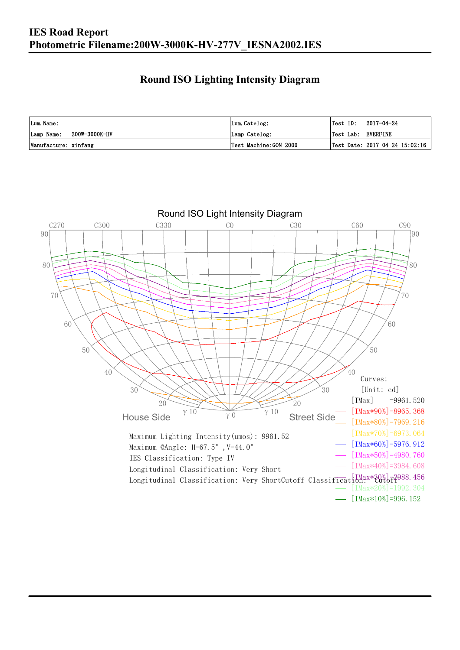### **Round ISO Lighting Intensity Diagram**

| Lum. Name:                  | Lum.Catelog:          |                    | $Test ID: 2017-04-24$          |
|-----------------------------|-----------------------|--------------------|--------------------------------|
| 200W-3000K-HV<br>Lamp Name: | Lamp Catelog:         | Test Lab: EVERFINE |                                |
| Manufacture: xinfang        | Test Machine:GON-2000 |                    | Test Date: 2017-04-24 15:02:16 |

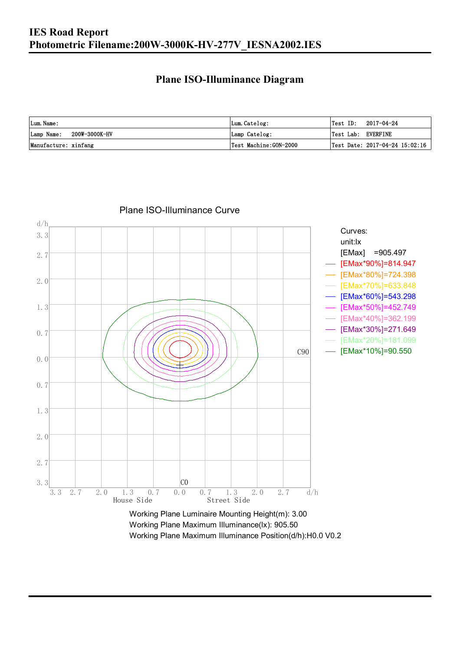### **Plane ISO-Illuminance Diagram**

| Lum. Name:                  | Lum.Catelog:          | $\textsf{Test ID:} \quad 2017-04-24$      |
|-----------------------------|-----------------------|-------------------------------------------|
| 200W-3000K-HV<br>Lamp Name: | Lamp Catelog:         | Test Lab: EVERFINE                        |
| Manufacture: xinfang        | Test Machine:GON-2000 | $\sqrt{2}$ Test Date: 2017-04-24 15:02:16 |



#### Plane ISO-Illuminance Curve

Working Plane Maximum Illuminance(lx): 905.50 Working Plane Maximum Illuminance Position(d/h):H0.0 V0.2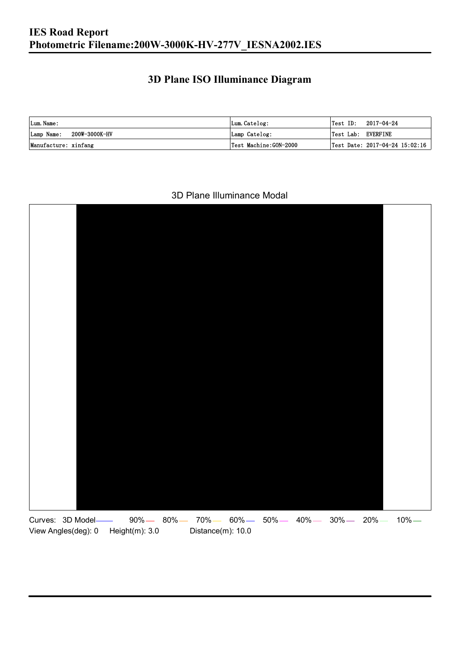## **3D Plane ISO Illuminance Diagram**

| Lum. Name:                  | Lum.Catelog:          |                    | $\textsf{Test ID:} \quad 2017-04-24$ |
|-----------------------------|-----------------------|--------------------|--------------------------------------|
| 200W-3000K-HV<br>Lamp Name: | Lamp Catelog:         | Test Lab: EVERFINE |                                      |
| Manufacture: xinfang        | Test Machine:GON-2000 |                    | Test Date: 2017-04-24 15:02:16       |

#### 3D Plane Illuminance Modal

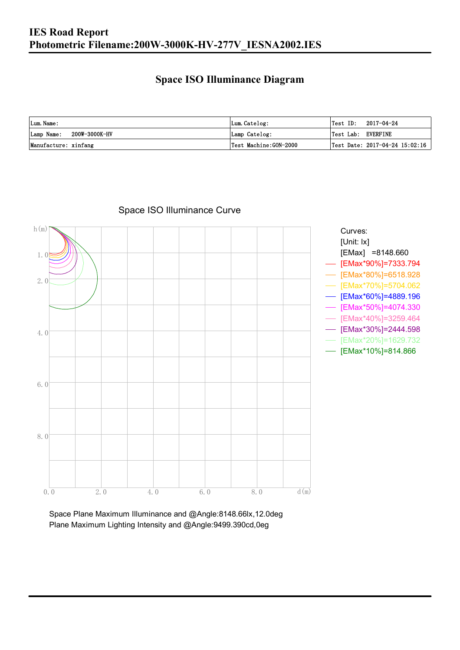### **Space ISO Illuminance Diagram**

| Lum. Name:                  | Lum.Catelog:          | Test ID:<br>2017-04-24                          |
|-----------------------------|-----------------------|-------------------------------------------------|
| 200W-3000K-HV<br>Lamp Name: | Lamp Catelog:         | Test Lab: EVERFINE                              |
| Manufacture: xinfang        | Test Machine:GON-2000 | $\sqrt{\text{Test Date: } 2017-04-24}$ 15:02:16 |



Space ISO Illuminance Curve

Space Plane Maximum Illuminance and @Angle:8148.66lx,12.0deg Plane Maximum Lighting Intensity and @Angle:9499.390cd,0eg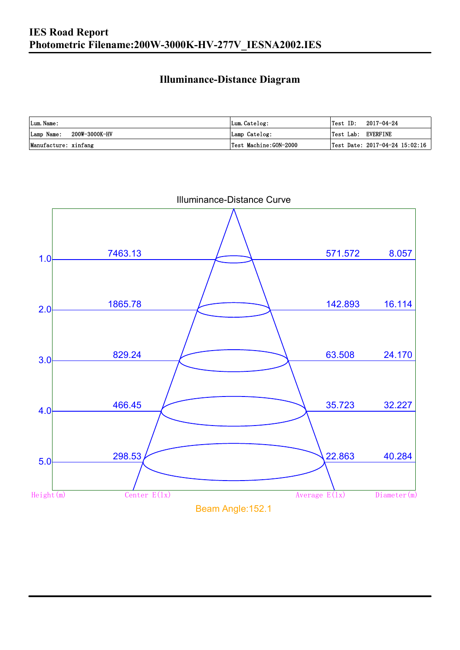### **Illuminance-Distance Diagram**

| Lum. Name:                  | Lum.Catelog:           | Test ID:<br>2017-04-24         |
|-----------------------------|------------------------|--------------------------------|
| 200W-3000K-HV<br>Lamp Name: | Lamp Catelog:          | Test Lab: EVERFINE             |
| Manufacture: xinfang        | 'Test Machine:GON-2000 | Test Date: 2017-04-24 15:02:16 |



Illuminance-Distance Curve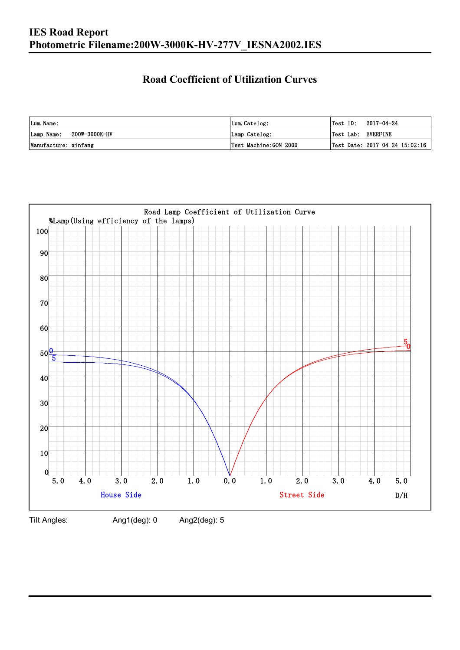## **Road Coefficient of Utilization Curves**

| Lum. Name:                  | Lum.Catelog:          | $ Test$ ID:        | 2017-04-24                     |
|-----------------------------|-----------------------|--------------------|--------------------------------|
| 200W-3000K-HV<br>Lamp Name: | Lamp Catelog:         | Test Lab: EVERFINE |                                |
| Manufacture: xinfang        | Test Machine:GON-2000 |                    | Test Date: 2017-04-24 15:02:16 |



Tilt Angles: Ang1(deg): 0 Ang2(deg): 5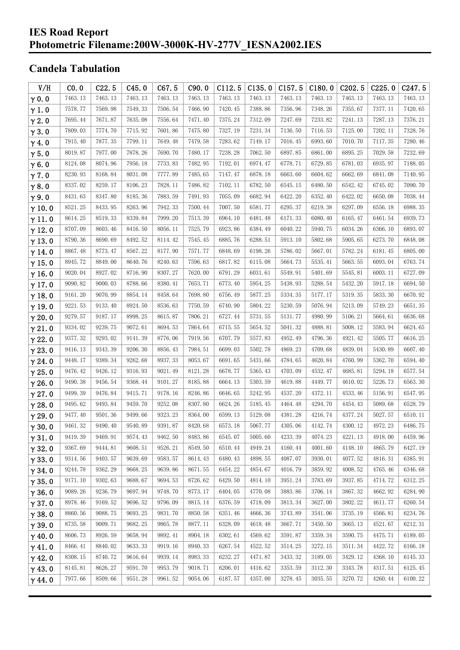### **IES Road Report Photometric Filename:200W-3000K-HV-277V\_IESNA2002.IES**

## **Candela Tabulation**

| V/H           | CO.0    | C22.5   | C45.0   | C67.5   | C90.0   | C112.5  | C135.0  | C157.5  | C180.0  | C <sub>2</sub> 02.5 | C225.0  | C247.5  |
|---------------|---------|---------|---------|---------|---------|---------|---------|---------|---------|---------------------|---------|---------|
| $\gamma$ 0.0  | 7463.13 | 7463.13 | 7463.13 | 7463.13 | 7463.13 | 7463.13 | 7463.13 | 7463.13 | 7463.13 | 7463.13             | 7463.13 | 7463.13 |
| $\gamma$ 1.0  | 7578.77 | 7569.98 | 7549.33 | 7506.54 | 7466.90 | 7420.45 | 7388.86 | 7356.96 | 7348.26 | 7355.67             | 7377.11 | 7420.65 |
| $\gamma$ 2.0  | 7695.44 | 7671.87 | 7635.08 | 7556.64 | 7471.40 | 7375.24 | 7312.09 | 7247.69 | 7233.82 | 7241.13             | 7287.13 | 7376.21 |
| $\gamma$ 3.0  | 7809.03 | 7774.70 | 7715.92 | 7601.86 | 7475.80 | 7327.19 | 7231.34 | 7136.50 | 7116.53 | 7125.00             | 7202.11 | 7328.76 |
| $\gamma$ 4.0  | 7915.40 | 7877.35 | 7799.11 | 7649.48 | 7479.58 | 7283.62 | 7149.17 | 7016.45 | 6993.60 | 7010.70             | 7117.35 | 7280.46 |
| $\gamma$ 5.0  | 8019.87 | 7977.00 | 7878.26 | 7690.70 | 7480.17 | 7238.28 | 7062.50 | 6897.85 | 6861.00 | 6895.25             | 7029.58 | 7232.69 |
| $\gamma$ 6.0  | 8124.08 | 8074.96 | 7956.18 | 7733.83 | 7482.95 | 7192.01 | 6974.47 | 6778.71 | 6729.85 | 6781.03             | 6935.97 | 7188.05 |
| $\gamma$ 7.0  | 8230.93 | 8168.84 | 8031.08 | 7777.89 | 7485.65 | 7147.47 | 6878.18 | 6663.60 | 6604.62 | 6662.69             | 6841.08 | 7140.95 |
| $\gamma$ 8.0  | 8337.02 | 8259.17 | 8106.23 | 7828.11 | 7486.82 | 7102.11 | 6782.50 | 6545.15 | 6480.50 | 6542.42             | 6745.02 | 7090.70 |
| $\gamma$ 9.0  | 8431.63 | 8347.80 | 8185.36 | 7883.59 | 7491.93 | 7055.09 | 6682.94 | 6422.20 | 6352.40 | 6422.02             | 6650.08 | 7038.44 |
| $\gamma$ 10.0 | 8521.25 | 8433.95 | 8263.96 | 7942.33 | 7500.44 | 7007.50 | 6581.77 | 6295.37 | 6219.38 | 6297.09             | 6556.18 | 6988.35 |
| $\gamma$ 11.0 | 8614.25 | 8519.33 | 8339.84 | 7999.20 | 7513.39 | 6964.10 | 6481.48 | 6171.33 | 6080.40 | 6165.47             | 6461.54 | 6939.73 |
| $\gamma$ 12.0 | 8707.09 | 8603.46 | 8416.50 | 8056.11 | 7525.79 | 6923.86 | 6384.49 | 6040.22 | 5940.75 | 6034.26             | 6366.10 | 6893.07 |
| $\gamma$ 13.0 | 8790.36 | 8690.69 | 8492.52 | 8114.42 | 7545.45 | 6885.76 | 6288.51 | 5913.10 | 5802.68 | 5905.65             | 6273.70 | 6848.08 |
| $\gamma$ 14.0 | 8867.48 | 8773.47 | 8567.22 | 8177.90 | 7571.77 | 6848.69 | 6198.26 | 5786.02 | 5667.01 | 5782.24             | 6181.45 | 6805.00 |
| $\gamma$ 15.0 | 8945.72 | 8849.00 | 8640.76 | 8240.63 | 7596.63 | 6817.82 | 6115.08 | 5664.73 | 5535.41 | 5663.55             | 6093.04 | 6763.74 |
| $\gamma$ 16.0 | 9020.04 | 8927.02 | 8716.90 | 8307.27 | 7620.00 | 6791.29 | 6031.61 | 5549.91 | 5401.69 | 5545.81             | 6003.11 | 6727.09 |
| $\gamma$ 17.0 | 9090.82 | 9000.03 | 8788.66 | 8380.41 | 7653.71 | 6773.40 | 5954.25 | 5438.93 | 5288.54 | 5432.20             | 5917.18 | 6694.50 |
| $\gamma$ 18.0 | 9161.20 | 9070.99 | 8854.14 | 8458.64 | 7698.80 | 6756.49 | 5877.25 | 5334.35 | 5177.17 | 5319.35             | 5833.30 | 6670.92 |
| $\gamma$ 19.0 | 9221.53 | 9133.40 | 8924.50 | 8536.63 | 7750.59 | 6740.90 | 5804.22 | 5230.59 | 5076.94 | 5213.09             | 5749.23 | 6651.35 |
| $\gamma$ 20.0 | 9279.57 | 9187.17 | 8998.25 | 8615.87 | 7806.21 | 6727.44 | 5731.55 | 5131.77 | 4980.99 | 5106.21             | 5664.61 | 6636.68 |
| $\gamma$ 21.0 | 9334.02 | 9239.75 | 9072.61 | 8694.53 | 7864.64 | 6715.55 | 5654.52 | 5041.32 | 4888.81 | 5008.12             | 5583.94 | 6624.65 |
| $\gamma$ 22.0 | 9377.32 | 9293.02 | 9141.39 | 8776.06 | 7919.56 | 6707.79 | 5577.83 | 4952.49 | 4796.36 | 4921.42             | 5505.77 | 6616.25 |
| $\gamma$ 23.0 | 9416.13 | 9343.39 | 9206.30 | 8856.43 | 7984.51 | 6699.03 | 5502.78 | 4869.23 | 4709.68 | 4839.04             | 5430.89 | 6607.40 |
| $\gamma$ 24.0 | 9448.17 | 9389.34 | 9262.68 | 8937.33 | 8053.67 | 6691.65 | 5431.66 | 4784.65 | 4620.84 | 4760.99             | 5362.70 | 6594.40 |
| $\gamma$ 25.0 | 9476.42 | 9426.12 | 9316.93 | 9021.49 | 8121.28 | 6678.77 | 5365.43 | 4703.09 | 4532.47 | 4685.81             | 5294.18 | 6577.54 |
| $\gamma$ 26.0 | 9490.38 | 9456.54 | 9368.44 | 9101.27 | 8185.88 | 6664.13 | 5303.59 | 4619.88 | 4449.77 | 4610.02             | 5226.73 | 6563.30 |
| $\gamma$ 27.0 | 9499.39 | 9476.84 | 9415.71 | 9178.16 | 8246.86 | 6646.65 | 5242.95 | 4537.20 | 4372.11 | 4533.46             | 5156.91 | 6547.95 |
| $\gamma$ 28.0 | 9495.62 | 9493.84 | 9459.70 | 9252.08 | 8307.80 | 6624.26 | 5185.45 | 4464.48 | 4294.70 | 4454.43             | 5089.68 | 6528.79 |
| $\gamma$ 29.0 | 9477.40 | 9501.36 | 9499.66 | 9323.23 | 8364.00 | 6599.13 | 5129.08 | 4381.28 | 4216.74 | 4377.24             | 5027.57 | 6510.11 |
| $\gamma$ 30.0 | 9461.32 | 9490.40 | 9540.89 | 9391.87 | 8420.68 | 6573.18 | 5067.77 | 4305.06 | 4142.74 | 4300.12             | 4972.23 | 6486.75 |
| $\gamma$ 31.0 | 9419.39 | 9469.91 | 9574.43 | 9462.50 | 8483.86 | 6545.07 | 5005.60 | 4233.39 | 4074.23 | 4221.13             | 4918.00 | 6459.96 |
| $\gamma$ 32.0 | 9367.69 | 9444.81 | 9608.51 | 9526.21 | 8549.50 | 6510.44 | 4949.24 | 4160.44 | 4001.60 | 4148.10             | 4865.79 | 6427.19 |
| $\gamma$ 33.0 | 9314.56 | 9403.57 | 9639.69 | 9583.57 | 8614.43 | 6480.43 | 4898.55 | 4087.07 | 3930.01 | 4077.52             | 4816.31 | 6385.91 |
| $\gamma$ 34.0 | 9244.78 | 9362.29 | 9668.25 | 9639.86 | 8671.55 | 6454.22 | 4854.67 | 4016.79 | 3859.92 | 4008.52             | 4765.46 | 6346.68 |
| $\gamma$ 35.0 | 9171.10 | 9302.63 | 9688.67 | 9694.53 | 8726.62 | 6429.50 | 4814.10 | 3951.24 | 3783.69 | 3937.85             | 4714.72 | 6312.25 |
| $\gamma$ 36.0 | 9089.26 | 9236.79 | 9697.94 | 9748.70 | 8773.17 | 6404.05 | 4770.08 | 3883.86 | 3706.14 | 3867.32             | 4662.92 | 6284.90 |
| $\gamma$ 37.0 | 8978.46 | 9169.52 | 9696.52 | 9796.09 | 8815.14 | 6376.59 | 4718.09 | 3813.34 | 3627.00 | 3802.22             | 4611.77 | 6260.54 |
| $\gamma$ 38.0 | 8860.56 | 9088.75 | 9693.25 | 9831.70 | 8850.58 | 6351.46 | 4666.36 | 3743.89 | 3541.06 | 3735.19             | 4566.81 | 6234.76 |
| $\gamma$ 39.0 | 8735.58 | 9009.71 | 9682.25 | 9865.78 | 8877.11 | 6328.09 | 4618.48 | 3667.71 | 3450.50 | 3665.13             | 4521.67 | 6212.31 |
| $\gamma$ 40.0 | 8606.73 | 8926.59 | 9658.94 | 9892.41 | 8904.18 | 6302.61 | 4569.62 | 3591.87 | 3359.34 | 3590.75             | 4475.71 | 6189.05 |
| $\gamma$ 41.0 | 8466.41 | 8840.02 | 9633.33 | 9919.16 | 8940.33 | 6267.54 | 4522.52 | 3514.25 | 3272.15 | 3511.34             | 4422.72 | 6166.18 |
| $\gamma$ 42.0 | 8308.15 | 8740.72 | 9616.64 | 9939.14 | 8983.33 | 6232.27 | 4471.87 | 3433.32 | 3189.05 | 3429.12             | 4368.10 | 6145.33 |
| $\gamma$ 43.0 | 8145.81 | 8626.27 | 9591.70 | 9953.79 | 9018.71 | 6206.01 | 4416.62 | 3353.59 | 3112.30 | 3343.78             | 4317.51 | 6125.45 |
| $\gamma$ 44.0 | 7977.66 | 8509.66 | 9551.28 | 9961.52 | 9054.06 | 6187.57 | 4357.00 | 3278.45 | 3035.55 | 3270.72             | 4260.44 | 6100.22 |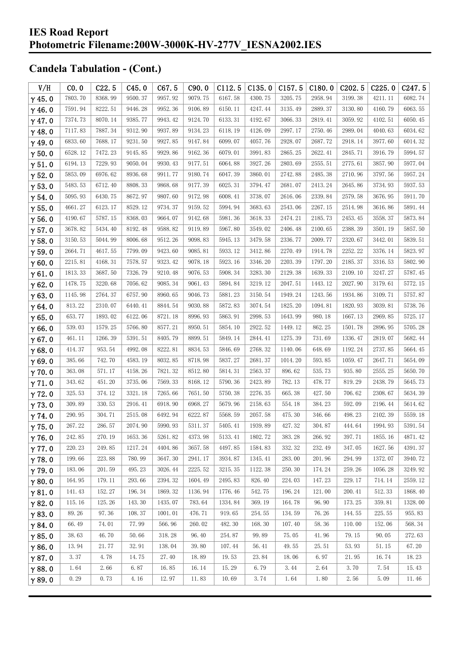| V/H           | CO.0    | C22.5   | C45.0   | C67.5   | C90.0   | C112.5  | C135.0  | C157.5  | C180.0  | C202.5  | C225.0  | C247.5  |
|---------------|---------|---------|---------|---------|---------|---------|---------|---------|---------|---------|---------|---------|
| $\gamma$ 45.0 | 7803.70 | 8368.99 | 9500.37 | 9957.92 | 9079.75 | 6167.58 | 4300.75 | 3205.75 | 2958.94 | 3199.38 | 4211.11 | 6082.74 |
| $\gamma$ 46.0 | 7591.94 | 8222.51 | 9446.28 | 9952.36 | 9106.89 | 6150.11 | 4247.44 | 3135.49 | 2889.37 | 3130.80 | 4160.79 | 6063.55 |
| $\gamma$ 47.0 | 7374.73 | 8070.14 | 9385.77 | 9943.42 | 9124.70 | 6133.31 | 4192.67 | 3066.33 | 2819.41 | 3059.92 | 4102.51 | 6050.45 |
| $\gamma$ 48.0 | 7117.83 | 7887.34 | 9312.90 | 9937.89 | 9134.23 | 6118.19 | 4126.09 | 2997.17 | 2750.46 | 2989.04 | 4040.63 | 6034.62 |
| $\gamma$ 49.0 | 6833.60 | 7688.17 | 9231.50 | 9927.85 | 9147.84 | 6099.07 | 4057.76 | 2928.07 | 2687.72 | 2918.14 | 3977.60 | 6014.32 |
| $\gamma$ 50.0 | 6528.12 | 7472.23 | 9145.85 | 9929.86 | 9162.36 | 6079.01 | 3991.83 | 2865.25 | 2622.41 | 2845.71 | 3916.79 | 5994.57 |
| $\gamma$ 51.0 | 6194.13 | 7229.93 | 9050.04 | 9930.43 | 9177.51 | 6064.88 | 3927.26 | 2803.69 | 2555.51 | 2775.61 | 3857.90 | 5977.04 |
| $\gamma$ 52.0 | 5853.09 | 6976.62 | 8936.68 | 9911.77 | 9180.74 | 6047.39 | 3860.01 | 2742.88 | 2485.38 | 2710.96 | 3797.56 | 5957.24 |
| $\gamma$ 53.0 | 5483.53 | 6712.40 | 8808.33 | 9868.68 | 9177.39 | 6025.31 | 3794.47 | 2681.07 | 2413.24 | 2645.86 | 3734.93 | 5937.53 |
| $\gamma$ 54.0 | 5095.93 | 6430.75 | 8672.97 | 9807.60 | 9172.98 | 6008.41 | 3738.07 | 2616.06 | 2339.84 | 2579.58 | 3676.95 | 5911.70 |
| $\gamma$ 55.0 | 4661.27 | 6123.17 | 8529.12 | 9734.37 | 9159.52 | 5994.94 | 3683.63 | 2543.06 | 2267.15 | 2514.98 | 3616.86 | 5891.44 |
| $\gamma$ 56.0 | 4190.67 | 5787.15 | 8368.03 | 9664.07 | 9142.68 | 5981.36 | 3618.33 | 2474.21 | 2185.73 | 2453.45 | 3558.37 | 5873.84 |
| $\gamma$ 57.0 | 3678.82 | 5434.40 | 8192.48 | 9588.82 | 9119.89 | 5967.80 | 3549.02 | 2406.48 | 2100.65 | 2388.39 | 3501.19 | 5857.50 |
| $\gamma$ 58.0 | 3150.53 | 5044.99 | 8006.68 | 9512.26 | 9098.83 | 5945.13 | 3479.58 | 2336.77 | 2009.77 | 2320.67 | 3442.01 | 5839.51 |
| $\gamma$ 59.0 | 2664.71 | 4617.55 | 7799.09 | 9423.60 | 9085.81 | 5933.12 | 3412.86 | 2270.49 | 1914.78 | 2252.22 | 3376.14 | 5823.97 |
| $\gamma$ 60.0 | 2215.81 | 4168.31 | 7578.57 | 9323.42 | 9078.18 | 5923.16 | 3346.20 | 2203.39 | 1797.20 | 2185.37 | 3316.53 | 5802.90 |
| $\gamma$ 61.0 | 1813.33 | 3687.50 | 7326.79 | 9210.48 | 9076.53 | 5908.34 | 3283.30 | 2129.38 | 1639.33 | 2109.10 | 3247.27 | 5787.45 |
| $\gamma$ 62.0 | 1478.75 | 3220.68 | 7056.62 | 9085.34 | 9061.43 | 5894.84 | 3219.12 | 2047.51 | 1443.12 | 2027.90 | 3179.61 | 5772.15 |
| $\gamma$ 63.0 | 1145.98 | 2764.37 | 6757.90 | 8960.65 | 9046.73 | 5881.23 | 3150.54 | 1949.24 | 1243.56 | 1934.86 | 3109.71 | 5757.87 |
| $\gamma$ 64.0 | 813.22  | 2310.07 | 6440.41 | 8844.54 | 9030.88 | 5872.83 | 3074.54 | 1825.20 | 1094.81 | 1820.93 | 3039.81 | 5738.76 |
| $\gamma$ 65.0 | 653.77  | 1893.02 | 6122.06 | 8721.18 | 8996.93 | 5863.91 | 2998.53 | 1643.99 | 980.18  | 1667.13 | 2969.85 | 5725.17 |
| $\gamma$ 66.0 | 539.03  | 1579.25 | 5766.80 | 8577.21 | 8950.51 | 5854.10 | 2922.52 | 1449.12 | 862.25  | 1501.78 | 2896.95 | 5705.28 |
| $\gamma$ 67.0 | 461.11  | 1266.39 | 5391.51 | 8405.79 | 8899.51 | 5849.14 | 2844.41 | 1275.39 | 731.69  | 1336.47 | 2819.07 | 5682.44 |
| $\gamma$ 68.0 | 414.37  | 953.54  | 4992.08 | 8222.81 | 8834.53 | 5846.69 | 2768.32 | 1140.06 | 648.69  | 1192.24 | 2737.85 | 5664.45 |
| $\gamma$ 69.0 | 385.66  | 742.70  | 4583.19 | 8032.85 | 8718.98 | 5837.27 | 2681.37 | 1014.20 | 593.85  | 1059.47 | 2647.71 | 5654.09 |
| $\gamma$ 70.0 | 363.08  | 571.17  | 4158.26 | 7821.32 | 8512.80 | 5814.31 | 2563.37 | 896.62  | 535.73  | 935.80  | 2555.25 | 5650.70 |
| $\gamma$ 71.0 | 343.62  | 451.20  | 3735.06 | 7569.33 | 8168.12 | 5790.36 | 2423.89 | 782.13  | 478.77  | 819.29  | 2438.79 | 5645.73 |
| $\gamma$ 72.0 | 325.53  | 374.12  | 3321.18 | 7265.66 | 7651.50 | 5750.38 | 2276.35 | 665.38  | 427.50  | 706.62  | 2308.67 | 5634.39 |
| $\gamma$ 73.0 | 309.89  | 330.53  | 2916.41 | 6918.90 | 6968.27 | 5679.96 | 2158.63 | 554.18  | 384.23  | 592.09  | 2196.44 | 5614.62 |
| $\gamma$ 74.0 | 290.95  | 304.71  | 2515.08 | 6492.94 | 6222.87 | 5568.59 | 2057.58 | 475.30  | 346.66  | 498.23  | 2102.39 | 5559.18 |
| $\gamma$ 75.0 | 267.22  | 286.57  | 2074.90 | 5990.93 | 5311.37 | 5405.41 | 1939.89 | 427.32  | 304.87  | 444.64  | 1994.93 | 5391.54 |
| $\gamma$ 76.0 | 242.85  | 270.19  | 1653.36 | 5261.82 | 4373.98 | 5133.41 | 1802.72 | 383.28  | 266.92  | 397.71  | 1855.16 | 4871.42 |
| $\gamma$ 77.0 | 220.23  | 249.85  | 1217.24 | 4404.86 | 3657.58 | 4497.85 | 1584.83 | 332.32  | 232.49  | 347.05  | 1627.56 | 4391.37 |
| $\gamma$ 78.0 | 199.66  | 223.88  | 780.99  | 3647.30 | 2941.17 | 3934.87 | 1345.41 | 283.00  | 201.96  | 294.99  | 1372.07 | 3940.72 |
| $\gamma$ 79.0 | 183.06  | 201.59  | 495.23  | 3026.44 | 2225.52 | 3215.35 | 1122.38 | 250.30  | 174.24  | 259.26  | 1056.28 | 3249.92 |
| $\gamma$ 80.0 | 164.95  | 179.11  | 293.66  | 2394.32 | 1604.49 | 2495.83 | 826.40  | 224.03  | 147.23  | 229.17  | 714.14  | 2559.12 |
| $\gamma$ 81.0 | 141.43  | 152.27  | 196.34  | 1869.32 | 1136.94 | 1776.46 | 542.75  | 196.24  | 121.00  | 200.41  | 512.33  | 1868.40 |
| $\gamma$ 82.0 | 115.16  | 125.26  | 143.30  | 1435.07 | 783.64  | 1334.84 | 369.19  | 164.78  | 96.90   | 173.25  | 359.81  | 1328.00 |
| $\gamma$ 83.0 | 89.26   | 97.36   | 108.37  | 1001.01 | 476.71  | 919.65  | 254.55  | 134.59  | 76.26   | 144.55  | 225.55  | 955.83  |
| $\gamma$ 84.0 | 66.49   | 74.01   | 77.99   | 566.96  | 260.02  | 482.30  | 168.30  | 107.40  | 58.36   | 110.00  | 152.06  | 568.34  |
| $\gamma$ 85.0 | 38.63   | 46.70   | 50.66   | 318.28  | 96.40   | 254.87  | 99.89   | 75.05   | 41.96   | 79.15   | 90.05   | 272.63  |
| $\gamma$ 86.0 | 13.94   | 21.77   | 32.91   | 138.04  | 39.80   | 107.44  | 56.41   | 49.55   | 25.51   | 53.93   | 51.15   | 67.20   |
| $\gamma$ 87.0 | 3.37    | 4.78    | 14.75   | 27.40   | 18.89   | 19.53   | 23.84   | 18.06   | 6.97    | 21.95   | 16.74   | 18.23   |
| $\gamma$ 88.0 | 1.64    | 2.66    | 6.87    | 16.85   | 16.14   | 15.29   | 6.79    | 3.44    | 2.64    | 3.70    | 7.54    | 15.43   |
| $\gamma$ 89.0 | 0.29    | 0.73    | 4.16    | 12.97   | 11.83   | 10.69   | 3.74    | 1.64    | 1.80    | 2.56    | 5.09    | 11.46   |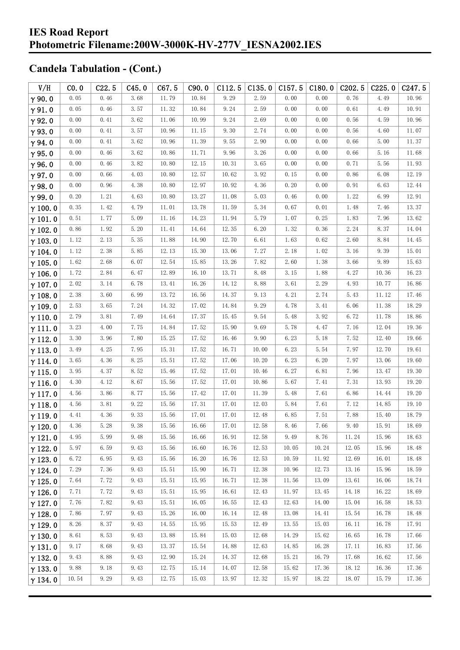| V/H            | CO.0  | C22.5 | C45.0 | C67.5 | C90.0 | C112.5 | C135.0 | C157.5 | C180.0 | C202.5 | C225.0 | C247.5 |
|----------------|-------|-------|-------|-------|-------|--------|--------|--------|--------|--------|--------|--------|
| $\gamma$ 90.0  | 0.05  | 0.46  | 3.68  | 11.79 | 10.84 | 9.29   | 2.59   | 0.00   | 0.00   | 0.76   | 4.49   | 10.96  |
| $\gamma$ 91.0  | 0.05  | 0.46  | 3.57  | 11.32 | 10.84 | 9.24   | 2.59   | 0.00   | 0.00   | 0.61   | 4.49   | 10.91  |
| $\gamma$ 92.0  | 0.00  | 0.41  | 3.62  | 11.06 | 10.99 | 9.24   | 2.69   | 0.00   | 0.00   | 0.56   | 4.59   | 10.96  |
| $\gamma$ 93.0  | 0.00  | 0.41  | 3.57  | 10.96 | 11.15 | 9.30   | 2.74   | 0.00   | 0.00   | 0.56   | 4.60   | 11.07  |
| $\gamma$ 94.0  | 0.00  | 0.41  | 3.62  | 10.96 | 11.39 | 9.55   | 2.90   | 0.00   | 0.00   | 0.66   | 5.00   | 11.37  |
| $\gamma$ 95.0  | 0.00  | 0.46  | 3.62  | 10.86 | 11.71 | 9.96   | 3.26   | 0.00   | 0.00   | 0.66   | 5.16   | 11.68  |
| $\gamma$ 96.0  | 0.00  | 0.46  | 3.82  | 10.80 | 12.15 | 10.31  | 3.65   | 0.00   | 0.00   | 0.71   | 5.56   | 11.93  |
| $\gamma$ 97.0  | 0.00  | 0.66  | 4.03  | 10.80 | 12.57 | 10.62  | 3.92   | 0.15   | 0.00   | 0.86   | 6.08   | 12.19  |
| $\gamma$ 98.0  | 0.00  | 0.96  | 4.38  | 10.80 | 12.97 | 10.92  | 4.36   | 0.20   | 0.00   | 0.91   | 6.63   | 12.44  |
| $\gamma$ 99.0  | 0.20  | 1.21  | 4.63  | 10.80 | 13.27 | 11.08  | 5.03   | 0.46   | 0.00   | 1.22   | 6.99   | 12.91  |
| $\gamma$ 100.0 | 0.35  | 1.42  | 4.79  | 11.01 | 13.78 | 11.59  | 5.34   | 0.67   | 0.01   | 1.48   | 7.46   | 13.37  |
| $\gamma$ 101.0 | 0.51  | 1.77  | 5.09  | 11.16 | 14.23 | 11.94  | 5.79   | 1.07   | 0.25   | 1.83   | 7.96   | 13.62  |
| $\gamma$ 102.0 | 0.86  | 1.92  | 5.20  | 11.41 | 14.64 | 12.35  | 6.20   | 1.32   | 0.36   | 2.24   | 8.37   | 14.04  |
| $\gamma$ 103.0 | 1.12  | 2.13  | 5.35  | 11.88 | 14.90 | 12.70  | 6.61   | 1.63   | 0.62   | 2.60   | 8.84   | 14.45  |
| $\gamma$ 104.0 | 1.12  | 2.38  | 5.85  | 12.13 | 15.30 | 13.06  | 7.27   | 2.18   | 1.02   | 3.16   | 9.39   | 15.01  |
| $\gamma$ 105.0 | 1.62  | 2.68  | 6.07  | 12.54 | 15.85 | 13.26  | 7.82   | 2.60   | 1.38   | 3.66   | 9.89   | 15.63  |
| $\gamma$ 106.0 | 1.72  | 2.84  | 6.47  | 12.89 | 16.10 | 13.71  | 8.48   | 3.15   | 1.88   | 4.27   | 10.36  | 16.23  |
| $\gamma$ 107.0 | 2.02  | 3.14  | 6.78  | 13.41 | 16.26 | 14.12  | 8.88   | 3.61   | 2.29   | 4.93   | 10.77  | 16.86  |
| $\gamma$ 108.0 | 2.38  | 3.60  | 6.99  | 13.72 | 16.56 | 14.37  | 9.13   | 4.21   | 2.74   | 5.43   | 11.12  | 17.46  |
| $\gamma$ 109.0 | 2.53  | 3.65  | 7.24  | 14.32 | 17.02 | 14.84  | 9.29   | 4.78   | 3.41   | 6.06   | 11.38  | 18.29  |
| $\gamma$ 110.0 | 2.79  | 3.81  | 7.49  | 14.64 | 17.37 | 15.45  | 9.54   | 5.48   | 3.92   | 6.72   | 11.78  | 18.86  |
| $\gamma$ 111.0 | 3.23  | 4.00  | 7.75  | 14.84 | 17.52 | 15.90  | 9.69   | 5.78   | 4.47   | 7.16   | 12.04  | 19.36  |
| $\gamma$ 112.0 | 3.30  | 3.96  | 7.80  | 15.25 | 17.52 | 16.46  | 9.90   | 6.23   | 5.18   | 7.52   | 12.40  | 19.66  |
| $\gamma$ 113.0 | 3.49  | 4.25  | 7.95  | 15.31 | 17.52 | 16.71  | 10.00  | 6.23   | 5.54   | 7.97   | 12.70  | 19.61  |
| $\gamma$ 114.0 | 3.65  | 4.36  | 8.25  | 15.51 | 17.52 | 17.06  | 10.20  | 6.23   | 6.20   | 7.97   | 13.06  | 19.60  |
| $\gamma$ 115.0 | 3.95  | 4.37  | 8.52  | 15.46 | 17.52 | 17.01  | 10.46  | 6.27   | 6.81   | 7.96   | 13.47  | 19.30  |
| $\gamma$ 116.0 | 4.30  | 4.12  | 8.67  | 15.56 | 17.52 | 17.01  | 10.86  | 5.67   | 7.41   | 7.31   | 13.93  | 19.20  |
| $\gamma$ 117.0 | 4.56  | 3.86  | 8.77  | 15.56 | 17.42 | 17.01  | 11.39  | 5.48   | 7.61   | 6.86   | 14.44  | 19.20  |
| $\gamma$ 118.0 | 4.56  | 3.81  | 9.22  | 15.56 | 17.31 | 17.01  | 12.03  | 5.84   | 7.61   | 7.12   | 14.85  | 19.10  |
| $\gamma$ 119.0 | 4.41  | 4.36  | 9.33  | 15.56 | 17.01 | 17.01  | 12.48  | 6.85   | 7.51   | 7.88   | 15.40  | 18.79  |
| $\gamma$ 120.0 | 4.36  | 5.28  | 9.38  | 15.56 | 16.66 | 17.01  | 12.58  | 8.46   | 7.66   | 9.40   | 15.91  | 18.69  |
| $\gamma$ 121.0 | 4.95  | 5.99  | 9.48  | 15.56 | 16.66 | 16.91  | 12.58  | 9.49   | 8.76   | 11.24  | 15.96  | 18.63  |
| $\gamma$ 122.0 | 5.97  | 6.59  | 9.43  | 15.56 | 16.60 | 16.76  | 12.53  | 10.05  | 10.24  | 12.05  | 15.96  | 18.48  |
| $\gamma$ 123.0 | 6.72  | 6.95  | 9.43  | 15.56 | 16.20 | 16.76  | 12.53  | 10.59  | 11.92  | 12.69  | 16.01  | 18.48  |
| $\gamma$ 124.0 | 7.29  | 7.36  | 9.43  | 15.51 | 15.90 | 16.71  | 12.38  | 10.96  | 12.73  | 13.16  | 15.96  | 18.59  |
| $\gamma$ 125.0 | 7.64  | 7.72  | 9.43  | 15.51 | 15.95 | 16.71  | 12.38  | 11.56  | 13.09  | 13.61  | 16.06  | 18.74  |
| $\gamma$ 126.0 | 7.71  | 7.72  | 9.43  | 15.51 | 15.95 | 16.61  | 12.43  | 11.97  | 13.45  | 14.18  | 16.22  | 18.69  |
| $\gamma$ 127.0 | 7.76  | 7.82  | 9.43  | 15.51 | 16.05 | 16.55  | 12.43  | 12.63  | 14.00  | 15.04  | 16.58  | 18.53  |
| $\gamma$ 128.0 | 7.86  | 7.97  | 9.43  | 15.26 | 16.00 | 16.14  | 12.48  | 13.08  | 14.41  | 15.54  | 16.78  | 18.48  |
| $\gamma$ 129.0 | 8.26  | 8.37  | 9.43  | 14.55 | 15.95 | 15.53  | 12.49  | 13.55  | 15.03  | 16.11  | 16.78  | 17.91  |
| $\gamma$ 130.0 | 8.61  | 8.53  | 9.43  | 13.88 | 15.84 | 15.03  | 12.68  | 14.29  | 15.62  | 16.65  | 16.78  | 17.66  |
| $\gamma$ 131.0 | 9.17  | 8.68  | 9.43  | 13.37 | 15.54 | 14.88  | 12.63  | 14.85  | 16.28  | 17.11  | 16.83  | 17.56  |
| $\gamma$ 132.0 | 9.43  | 8.88  | 9.43  | 12.90 | 15.24 | 14.37  | 12.68  | 15.21  | 16.79  | 17.68  | 16.62  | 17.56  |
| $\gamma$ 133.0 | 9.88  | 9.18  | 9.43  | 12.75 | 15.14 | 14.07  | 12.58  | 15.62  | 17.36  | 18.12  | 16.36  | 17.36  |
| $\gamma$ 134.0 | 10.54 | 9.29  | 9.43  | 12.75 | 15.03 | 13.97  | 12.32  | 15.97  | 18.22  | 18.07  | 15.79  | 17.36  |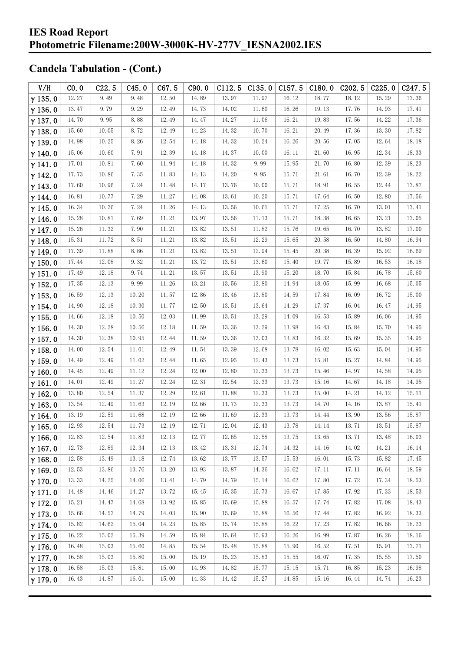| V/H            | CO.0  | C22.5 | C45.0 | C67.5     | C90.0 | C112.5 | C135.0 | C157.5    | C180.0 | C <sub>202.5</sub> | C225.0 | C247.5 |
|----------------|-------|-------|-------|-----------|-------|--------|--------|-----------|--------|--------------------|--------|--------|
| $\gamma$ 135.0 | 12.27 | 9.49  | 9.48  | 12.50     | 14.89 | 13.97  | 11.97  | 16.12     | 18.77  | 18.12              | 15.29  | 17.36  |
| $\gamma$ 136.0 | 13.47 | 9.79  | 9.29  | 12.49     | 14.73 | 14.02  | 11.60  | 16.26     | 19.13  | 17.76              | 14.93  | 17.41  |
| $\gamma$ 137.0 | 14.70 | 9.95  | 8.88  | 12.49     | 14.47 | 14.27  | 11.06  | 16.21     | 19.83  | 17.56              | 14.22  | 17.36  |
| $\gamma$ 138.0 | 15.60 | 10.05 | 8.72  | 12.49     | 14.23 | 14.32  | 10.70  | 16.21     | 20.49  | 17.36              | 13.30  | 17.82  |
| $\gamma$ 139.0 | 14.98 | 10.25 | 8.26  | 12.54     | 14.18 | 14.32  | 10.24  | 16.26     | 20.56  | 17.05              | 12.64  | 18.18  |
| $\gamma$ 140.0 | 15.06 | 10.60 | 7.91  | 12.39     | 14.18 | 14.37  | 10.00  | 16.11     | 21.60  | 16.95              | 12.34  | 18.33  |
| $\gamma$ 141.0 | 17.01 | 10.81 | 7.60  | 11.94     | 14.18 | 14.32  | 9.99   | 15.95     | 21.70  | 16.80              | 12.39  | 18.23  |
| $\gamma$ 142.0 | 17.73 | 10.86 | 7.35  | 11.83     | 14.13 | 14.20  | 9.95   | 15.71     | 21.61  | 16.70              | 12.39  | 18.22  |
| $\gamma$ 143.0 | 17.60 | 10.96 | 7.24  | 11.48     | 14.17 | 13.76  | 10.00  | 15.71     | 18.91  | 16.55              | 12.44  | 17.87  |
| $\gamma$ 144.0 | 16.81 | 10.77 | 7.29  | 11.27     | 14.08 | 13.61  | 10.20  | 15.71     | 17.64  | 16.50              | 12.80  | 17.56  |
| $\gamma$ 145.0 | 16.34 | 10.76 | 7.24  | 11.26     | 14.13 | 13.56  | 10.61  | 15.71     | 17.25  | 16.70              | 13.01  | 17.41  |
| $\gamma$ 146.0 | 15.28 | 10.81 | 7.69  | $11.\,21$ | 13.97 | 13.56  | 11.13  | 15.71     | 18.38  | 16.65              | 13.21  | 17.05  |
| $\gamma$ 147.0 | 15.26 | 11.32 | 7.90  | 11.21     | 13.82 | 13.51  | 11.82  | 15.76     | 19.65  | 16.70              | 13.82  | 17.00  |
| $\gamma$ 148.0 | 15.31 | 11.72 | 8.51  | 11.21     | 13.82 | 13.51  | 12.29  | 15.65     | 20.58  | 16.50              | 14.80  | 16.94  |
| $\gamma$ 149.0 | 17.39 | 11.88 | 8.86  | 11.21     | 13.82 | 13.51  | 12.94  | 15.45     | 20.38  | 16.39              | 15.92  | 16.69  |
| $\gamma$ 150.0 | 17.44 | 12.08 | 9.32  | $11.\,21$ | 13.72 | 13.51  | 13.60  | 15.40     | 19.77  | 15.89              | 16.53  | 16.18  |
| $\gamma$ 151.0 | 17.49 | 12.18 | 9.74  | 11.21     | 13.57 | 13.51  | 13.90  | 15.20     | 18.70  | 15.84              | 16.78  | 15.60  |
| $\gamma$ 152.0 | 17.35 | 12.13 | 9.99  | 11.26     | 13.21 | 13.56  | 13.80  | 14.94     | 18.05  | 15.99              | 16.68  | 15.05  |
| $\gamma$ 153.0 | 16.59 | 12.13 | 10.20 | 11.57     | 12.86 | 13.46  | 13.80  | 14.59     | 17.84  | 16.09              | 16.72  | 15.00  |
| $\gamma$ 154.0 | 14.90 | 12.18 | 10.30 | 11.77     | 12.50 | 13.51  | 13.64  | 14.29     | 17.37  | 16.04              | 16.47  | 14.95  |
| $\gamma$ 155.0 | 14.66 | 12.18 | 10.50 | 12.03     | 11.99 | 13.51  | 13.29  | 14.09     | 16.53  | 15.89              | 16.06  | 14.95  |
| $\gamma$ 156.0 | 14.30 | 12.28 | 10.56 | 12.18     | 11.59 | 13.36  | 13.29  | 13.98     | 16.43  | 15.84              | 15.70  | 14.95  |
| $\gamma$ 157.0 | 14.30 | 12.38 | 10.95 | 12.44     | 11.59 | 13.36  | 13.03  | 13.83     | 16.32  | 15.69              | 15.35  | 14.95  |
| $\gamma$ 158.0 | 14.00 | 12.54 | 11.01 | 12.49     | 11.54 | 13.39  | 12.68  | 13.78     | 16.02  | 15.63              | 15.04  | 14.95  |
| $\gamma$ 159.0 | 14.49 | 12.49 | 11.02 | 12.44     | 11.65 | 12.95  | 12.43  | 13.73     | 15.81  | 15.27              | 14.84  | 14.95  |
| $\gamma$ 160.0 | 14.45 | 12.49 | 11.12 | 12.24     | 12.00 | 12.80  | 12.33  | 13.73     | 15.46  | 14.97              | 14.58  | 14.95  |
| $\gamma$ 161.0 | 14.01 | 12.49 | 11.27 | 12.24     | 12.31 | 12.54  | 12.33  | 13.73     | 15.16  | 14.67              | 14.18  | 14.95  |
| $\gamma$ 162.0 | 13.80 | 12.54 | 11.37 | 12.29     | 12.61 | 11.88  | 12.33  | 13.73     | 15.00  | 14.21              | 14.12  | 15.11  |
| $\gamma$ 163.0 | 13.54 | 12.49 | 11.63 | 12.19     | 12.66 | 11.73  | 12.33  | 13.73     | 14.70  | 14.16              | 13.87  | 15.41  |
| $\gamma$ 164.0 | 13.19 | 12.59 | 11.68 | 12.19     | 12.66 | 11.69  | 12.33  | 13.73     | 14.44  | 13.90              | 13.56  | 15.87  |
| $\gamma$ 165.0 | 12.93 | 12.54 | 11.73 | 12.19     | 12.71 | 12.04  | 12.43  | 13.78 $%$ | 14.14  | 13.71              | 13.51  | 15.87  |
| $\gamma$ 166.0 | 12.83 | 12.54 | 11.83 | 12.13     | 12.77 | 12.65  | 12.58  | 13.75     | 13.65  | 13.71              | 13.48  | 16.03  |
| $\gamma$ 167.0 | 12.73 | 12.89 | 12.34 | 12.13     | 13.42 | 13.31  | 12.74  | 14.32     | 14.16  | 14.02              | 14.21  | 16.14  |
| $\gamma$ 168.0 | 12.58 | 13.49 | 13.18 | 12.74     | 13.62 | 13.77  | 13.57  | 15.53     | 16.01  | 15.73              | 15.82  | 17.45  |
| $\gamma$ 169.0 | 12.53 | 13.86 | 13.76 | 13.20     | 13.93 | 13.87  | 14.36  | 16.62     | 17.11  | 17.11              | 16.64  | 18.59  |
| $\gamma$ 170.0 | 13.33 | 14.25 | 14.06 | 13.41     | 14.79 | 14.79  | 15.14  | 16.62     | 17.80  | 17.72              | 17.34  | 18.53  |
| $\gamma$ 171.0 | 14.48 | 14.46 | 14.27 | 13.72     | 15.45 | 15.35  | 15.73  | 16.67     | 17.85  | 17.92              | 17.33  | 18.53  |
| $\gamma$ 172.0 | 15.21 | 14.47 | 14.68 | 13.92     | 15.85 | 15.69  | 15.88  | 16.57     | 17.74  | 17.82              | 17.08  | 18.43  |
| $\gamma$ 173.0 | 15.66 | 14.57 | 14.79 | 14.03     | 15.90 | 15.69  | 15.88  | 16.56     | 17.44  | 17.82              | 16.92  | 18.33  |
| $\gamma$ 174.0 | 15.82 | 14.62 | 15.04 | 14.23     | 15.85 | 15.74  | 15.88  | 16.22     | 17.23  | 17.82              | 16.66  | 18.23  |
| $\gamma$ 175.0 | 16.22 | 15.02 | 15.39 | 14.59     | 15.84 | 15.64  | 15.93  | 16.26     | 16.99  | 17.87              | 16.26  | 18.16  |
| $\gamma$ 176.0 | 16.48 | 15.03 | 15.60 | 14.85     | 15.54 | 15.48  | 15.88  | 15.90     | 16.52  | 17.51              | 15.91  | 17.71  |
| $\gamma$ 177.0 | 16.58 | 15.03 | 15.80 | 15.00     | 15.19 | 15.23  | 15.83  | 15.55     | 16.07  | 17.35              | 15.55  | 17.50  |
| $\gamma$ 178.0 | 16.58 | 15.03 | 15.81 | 15.00     | 14.93 | 14.82  | 15.77  | 15.15     | 15.71  | 16.85              | 15.23  | 16.98  |
| $\gamma$ 179.0 | 16.43 | 14.87 | 16.01 | 15.00     | 14.33 | 14.42  | 15.27  | 14.85     | 15.16  | 16.44              | 14.74  | 16.23  |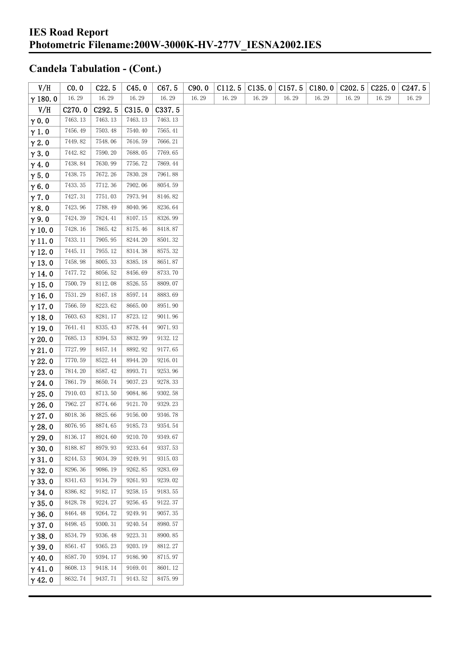| V/H            | CO. 0              | C22.5   | C45.0   | C67.5   | C90.0 | C112.5 | C135.0 | C157.5 | C180.0 | C <sub>2</sub> 02.5 | C225.0 | C <sub>247.5</sub> |
|----------------|--------------------|---------|---------|---------|-------|--------|--------|--------|--------|---------------------|--------|--------------------|
| $\gamma$ 180.0 | 16.29              | 16.29   | 16.29   | 16.29   | 16.29 | 16.29  | 16.29  | 16.29  | 16.29  | 16.29               | 16.29  | 16.29              |
| V/H            | C <sub>270.0</sub> | C292.5  | C315.0  | C337.5  |       |        |        |        |        |                     |        |                    |
| $\gamma$ 0.0   | 7463.13            | 7463.13 | 7463.13 | 7463.13 |       |        |        |        |        |                     |        |                    |
| $\gamma$ 1.0   | 7456.49            | 7503.48 | 7540.40 | 7565.41 |       |        |        |        |        |                     |        |                    |
| $\gamma$ 2.0   | 7449.82            | 7548.06 | 7616.59 | 7666.21 |       |        |        |        |        |                     |        |                    |
| $\gamma$ 3.0   | 7442.82            | 7590.20 | 7688.05 | 7769.65 |       |        |        |        |        |                     |        |                    |
| $\gamma$ 4.0   | 7438.84            | 7630.99 | 7756.72 | 7869.44 |       |        |        |        |        |                     |        |                    |
| $\gamma$ 5.0   | 7438.75            | 7672.26 | 7830.28 | 7961.88 |       |        |        |        |        |                     |        |                    |
| $\gamma$ 6.0   | 7433.35            | 7712.36 | 7902.06 | 8054.59 |       |        |        |        |        |                     |        |                    |
| $\gamma$ 7.0   | 7427.31            | 7751.03 | 7973.94 | 8146.82 |       |        |        |        |        |                     |        |                    |
| $\gamma$ 8.0   | 7423.96            | 7788.49 | 8040.96 | 8236.64 |       |        |        |        |        |                     |        |                    |
| $\gamma$ 9.0   | 7424.39            | 7824.41 | 8107.15 | 8326.99 |       |        |        |        |        |                     |        |                    |
| $\gamma$ 10.0  | 7428.16            | 7865.42 | 8175.46 | 8418.87 |       |        |        |        |        |                     |        |                    |
| $\gamma$ 11.0  | 7433.11            | 7905.95 | 8244.20 | 8501.32 |       |        |        |        |        |                     |        |                    |
| $\gamma$ 12.0  | 7445.11            | 7955.12 | 8314.38 | 8575.32 |       |        |        |        |        |                     |        |                    |
| $\gamma$ 13.0  | 7458.98            | 8005.33 | 8385.18 | 8651.87 |       |        |        |        |        |                     |        |                    |
| $\gamma$ 14.0  | 7477.72            | 8056.52 | 8456.69 | 8733.70 |       |        |        |        |        |                     |        |                    |
| $\gamma$ 15.0  | 7500.79            | 8112.08 | 8526.55 | 8809.07 |       |        |        |        |        |                     |        |                    |
| $\gamma$ 16.0  | 7531.29            | 8167.18 | 8597.14 | 8883.69 |       |        |        |        |        |                     |        |                    |
| $\gamma$ 17.0  | 7566.59            | 8223.62 | 8665.00 | 8951.90 |       |        |        |        |        |                     |        |                    |
| $\gamma$ 18.0  | 7603.63            | 8281.17 | 8723.12 | 9011.96 |       |        |        |        |        |                     |        |                    |
| $\gamma$ 19.0  | 7641.41            | 8335.43 | 8778.44 | 9071.93 |       |        |        |        |        |                     |        |                    |
| $\gamma$ 20.0  | 7685.13            | 8394.53 | 8832.99 | 9132.12 |       |        |        |        |        |                     |        |                    |
| $\gamma$ 21.0  | 7727.99            | 8457.14 | 8892.92 | 9177.65 |       |        |        |        |        |                     |        |                    |
| $\gamma$ 22.0  | 7770.59            | 8522.44 | 8944.20 | 9216.01 |       |        |        |        |        |                     |        |                    |
| $\gamma$ 23.0  | 7814.20            | 8587.42 | 8993.71 | 9253.96 |       |        |        |        |        |                     |        |                    |
| $\gamma$ 24.0  | 7861.79            | 8650.74 | 9037.23 | 9278.33 |       |        |        |        |        |                     |        |                    |
| $\gamma$ 25.0  | 7910.03            | 8713.50 | 9084.86 | 9302.58 |       |        |        |        |        |                     |        |                    |
| $\gamma$ 26.0  | 7962.27            | 8774.66 | 9121.70 | 9329.23 |       |        |        |        |        |                     |        |                    |
| $\gamma$ 27.0  | 8018.36            | 8825.66 | 9156.00 | 9346.78 |       |        |        |        |        |                     |        |                    |
| $\gamma$ 28.0  | 8076.95            | 8874.65 | 9185.73 | 9354.54 |       |        |        |        |        |                     |        |                    |
| $\gamma$ 29.0  | 8136.17            | 8924.60 | 9210.70 | 9349.67 |       |        |        |        |        |                     |        |                    |
| $\gamma$ 30.0  | 8188.87            | 8979.93 | 9233.64 | 9337.53 |       |        |        |        |        |                     |        |                    |
| $\gamma$ 31.0  | 8244.53            | 9034.39 | 9249.91 | 9315.03 |       |        |        |        |        |                     |        |                    |
| $\gamma$ 32.0  | 8296.36            | 9086.19 | 9262.85 | 9283.69 |       |        |        |        |        |                     |        |                    |
| $\gamma$ 33.0  | 8341.63            | 9134.79 | 9261.93 | 9239.02 |       |        |        |        |        |                     |        |                    |
| $\gamma$ 34.0  | 8386.82            | 9182.17 | 9258.15 | 9183.55 |       |        |        |        |        |                     |        |                    |
| $\gamma$ 35.0  | 8428.78            | 9224.27 | 9256.45 | 9122.37 |       |        |        |        |        |                     |        |                    |
| $\gamma$ 36.0  | 8464.48            | 9264.72 | 9249.91 | 9057.35 |       |        |        |        |        |                     |        |                    |
| $\gamma$ 37.0  | 8498.45            | 9300.31 | 9240.54 | 8980.57 |       |        |        |        |        |                     |        |                    |
| $\gamma$ 38.0  | 8534.79            | 9336.48 | 9223.31 | 8900.85 |       |        |        |        |        |                     |        |                    |
| $\gamma$ 39.0  | 8561.47            | 9365.23 | 9203.19 | 8812.27 |       |        |        |        |        |                     |        |                    |
| $\gamma$ 40.0  | 8587.70            | 9394.17 | 9186.90 | 8715.97 |       |        |        |        |        |                     |        |                    |
| $\gamma$ 41.0  | 8608.13            | 9418.14 | 9169.01 | 8601.12 |       |        |        |        |        |                     |        |                    |
| $\gamma$ 42.0  | 8632.74            | 9437.71 | 9143.52 | 8475.99 |       |        |        |        |        |                     |        |                    |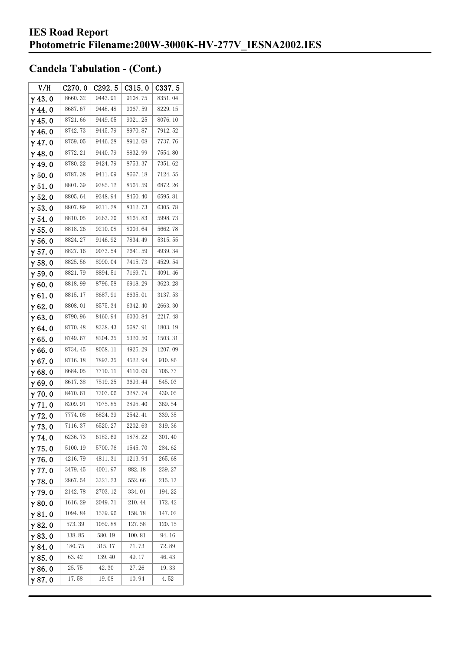| V/H            | C270.0  | C <sub>292.5</sub> | C315.0  | C337.5  |
|----------------|---------|--------------------|---------|---------|
| $\gamma$ 43. 0 | 8660.32 | 9443.91            | 9108.75 | 8351.04 |
| $\gamma$ 44.0  | 8687.67 | 9448.48            | 9067.59 | 8229.15 |
| $\gamma$ 45. 0 | 8721.66 | 9449.05            | 9021.25 | 8076.10 |
| γ46.0          | 8742.73 | 9445.79            | 8970.87 | 7912.52 |
| $\gamma$ 47. 0 | 8759.05 | 9446.28            | 8912.08 | 7737.76 |
| $\gamma$ 48.0  | 8772.21 | 9440.79            | 8832.99 | 7554.80 |
| γ49.0          | 8780.22 | 9424.79            | 8753.37 | 7351.62 |
| $\gamma$ 50. 0 | 8787.38 | 9411.09            | 8667.18 | 7124.55 |
| $\gamma$ 51.0  | 8801.39 | 9385.12            | 8565.59 | 6872.26 |
| $\gamma$ 52. 0 | 8805.64 | 9348.94            | 8450.40 | 6595.81 |
| $\gamma$ 53. 0 | 8807.89 | 9311.28            | 8312.73 | 6305.78 |
| γ54.0          | 8810.05 | 9263.70            | 8165.83 | 5998.73 |
| $\gamma$ 55.0  | 8818.26 | 9210.08            | 8003.64 | 5662.78 |
| $\gamma$ 56.0  | 8824.27 | 9146.92            | 7834.49 | 5315.55 |
| $\gamma$ 57.0  | 8827.16 | 9073.54            | 7641.59 | 4939.34 |
| $\gamma$ 58.0  | 8825.56 | 8990.04            | 7415.73 | 4529.54 |
| $\gamma$ 59.0  | 8821.79 | 8894.51            | 7169.71 | 4091.46 |
| γ60.0          | 8818.99 | 8796.58            | 6918.29 | 3623.28 |
| $\gamma$ 61. 0 | 8815.17 | 8687.91            | 6635.01 | 3137.53 |
| $\gamma$ 62. 0 | 8808.01 | 8575.34            | 6342.40 | 2663.30 |
| $\gamma$ 63.0  | 8790.96 | 8460.94            | 6030.84 | 2217.48 |
| γ64.0          | 8770.48 | 8338.43            | 5687.91 | 1803.19 |
| $\gamma$ 65.0  | 8749.67 | 8204.35            | 5320.50 | 1503.31 |
| $\gamma$ 66. 0 | 8734.45 | 8058.11            | 4925.29 | 1207.09 |
| $\gamma$ 67.0  | 8716.18 | 7893.35            | 4522.94 | 910.86  |
| γ68.0          | 8684.05 | 7710.11            | 4110.09 | 706.77  |
| $\gamma$ 69.0  | 8617.38 | 7519.25            | 3693.44 | 545.03  |
| $\gamma$ 70.0  | 8470.61 | 7307.06            | 3287.74 | 430.05  |
| γ71.0          | 8209.91 | 7075.85            | 2895.40 | 369.54  |
| $\gamma$ 72. 0 | 7774.08 | 6824.39            | 2542.41 | 339.35  |
| $\gamma$ 73. 0 | 7116.37 | 6520.27            | 2202.63 | 319.36  |
| $\gamma$ 74.0  | 6236.73 | 6182.69            | 1878.22 | 301.40  |
| $\gamma$ 75.0  | 5100.19 | 5700.76            | 1545.70 | 284.62  |
| $\gamma$ 76.0  | 4216.79 | 4811.31            | 1213.94 | 265.68  |
| $\gamma$ 77. 0 | 3479.45 | 4001.97            | 882.18  | 239.27  |
| $\gamma$ 78.0  | 2867.54 | 3321.23            | 552.66  | 215.13  |
| $\gamma$ 79.0  | 2142.78 | 2703.12            | 334.01  | 194.22  |
| $\gamma$ 80.0  | 1616.29 | 2049.71            | 210.44  | 172.42  |
| $\gamma$ 81. 0 | 1094.84 | 1539.96            | 158.78  | 147.02  |
| $\gamma$ 82. 0 | 573.39  | 1059.88            | 127.58  | 120.15  |
| $\gamma$ 83.0  | 338.85  | 580.19             | 100.81  | 94.16   |
| γ84. O         | 180.75  | 315.17             | 71.73   | 72.89   |
| $\gamma$ 85. 0 | 63.42   | 139.40             | 49.17   | 46.43   |
| $\gamma$ 86.0  | 25.75   | 42.30              | 27.26   | 19.33   |
| γ87.0          | 17.58   | 19.08              | 10.94   | 4.52    |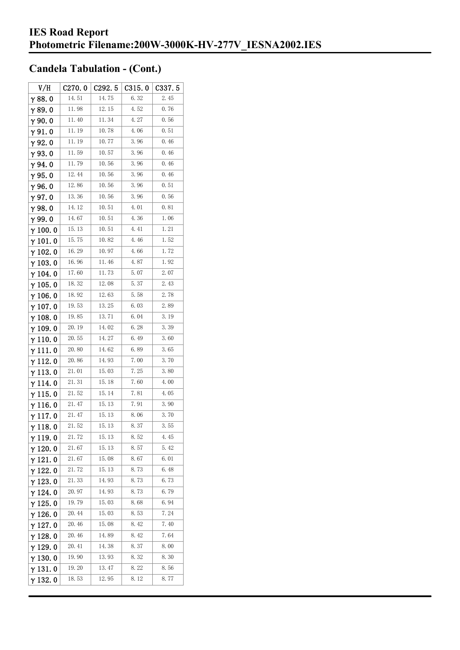| V/H             | C270.0 | C292.5 | C315.0 | C337.5 |
|-----------------|--------|--------|--------|--------|
| $\gamma$ 88. 0  | 14.51  | 14.75  | 6.32   | 2.45   |
| $\gamma$ 89.0   | 11.98  | 12.15  | 4.52   | 0.76   |
| $\gamma$ 90. 0  | 11.40  | 11.34  | 4.27   | 0.56   |
| $\gamma$ 91.0   | 11.19  | 10.78  | 4.06   | 0.51   |
| $\gamma$ 92.0   | 11.19  | 10.77  | 3.96   | 0.46   |
| $\gamma$ 93.0   | 11.59  | 10.57  | 3.96   | 0.46   |
| γ94.0           | 11.79  | 10.56  | 3.96   | 0.46   |
| $\gamma$ 95.0   | 12.44  | 10.56  | 3.96   | 0.46   |
| $\gamma$ 96.0   | 12.86  | 10.56  | 3.96   | 0.51   |
| γ97.0           | 13.36  | 10.56  | 3.96   | 0.56   |
| γ98.0           | 14.12  | 10.51  | 4.01   | 0.81   |
| $\gamma$ 99.0   | 14.67  | 10.51  | 4.36   | 1.06   |
| $\gamma$ 100. 0 | 15.13  | 10.51  | 4.41   | 1.21   |
| $\gamma$ 101. 0 | 15.75  | 10.82  | 4.46   | 1.52   |
| $\gamma$ 102. 0 | 16.29  | 10.97  | 4.66   | 1.72   |
| $\gamma$ 103.0  | 16.96  | 11.46  | 4.87   | 1.92   |
| $\gamma$ 104. 0 | 17.60  | 11.73  | 5.07   | 2.07   |
| $\gamma$ 105. 0 | 18.32  | 12.08  | 5.37   | 2.43   |
| $\gamma$ 106.0  | 18.92  | 12.63  | 5.58   | 2.78   |
| $\gamma$ 107. 0 | 19.53  | 13.25  | 6.03   | 2.89   |
| $\gamma$ 108. 0 | 19.85  | 13.71  | 6.04   | 3.19   |
| $\gamma$ 109.0  | 20.19  | 14.02  | 6.28   | 3.39   |
| $\gamma$ 110.0  | 20.55  | 14.27  | 6.49   | 3.60   |
| γ111.0          | 20.80  | 14.62  | 6.89   | 3.65   |
| $\gamma$ 112.0  | 20.86  | 14.93  | 7.00   | 3.70   |
| $\gamma$ 113.0  | 21.01  | 15.03  | 7.25   | 3.80   |
| $\gamma$ 114.0  | 21.31  | 15.18  | 7.60   | 4.00   |
| $\gamma$ 115.0  | 21.52  | 15.14  | 7.81   | 4.05   |
| $\gamma$ 116. 0 | 21.47  | 15.13  | 7.91   | 3.90   |
| $\gamma$ 117. 0 | 21.47  | 15.13  | 8.06   | 3.70   |
| $\gamma$ 118. 0 | 21.52  | 15.13  | 8.37   | 3.55   |
| γ119.0          | 21.72  | 15.13  | 8.52   | 4.45   |
| γ 120. 0        | 21.67  | 15.13  | 8.57   | 5.42   |
| $\gamma$ 121. 0 | 21.67  | 15.08  | 8.67   | 6.01   |
| $\gamma$ 122.0  | 21.72  | 15.13  | 8.73   | 6.48   |
| $\gamma$ 123.0  | 21.33  | 14. 93 | 8.73   | 6.73   |
| $\gamma$ 124.0  | 20.97  | 14.93  | 8.73   | 6.79   |
| $\gamma$ 125. 0 | 19.79  | 15.03  | 8.68   | 6.94   |
| $\gamma$ 126.0  | 20. 44 | 15.03  | 8.53   | 7.24   |
| $\gamma$ 127. 0 | 20.46  | 15.08  | 8.42   | 7.40   |
| $\gamma$ 128.0  | 20.46  | 14.89  | 8.42   | 7.64   |
| $\gamma$ 129.0  | 20.41  | 14.38  | 8.37   | 8.00   |
| γ130.0          | 19.90  | 13.93  | 8.32   | 8.30   |
| γ131.0          | 19.20  | 13.47  | 8.22   | 8.56   |
| γ132.0          | 18.53  | 12.95  | 8.12   | 8.77   |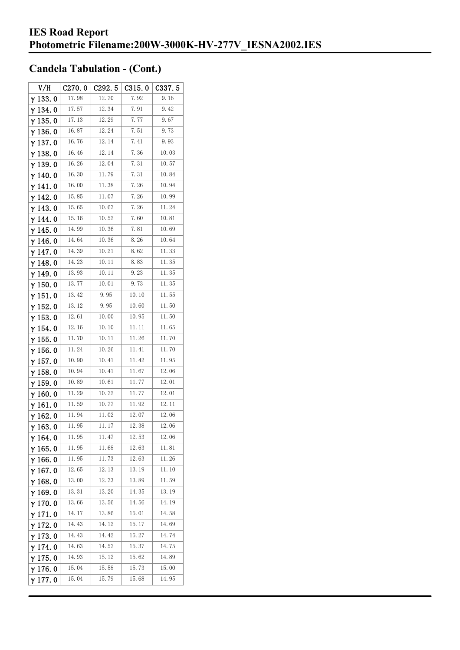| V/H             | C270.0 | C292.5 | C315.0 | C337.5 |
|-----------------|--------|--------|--------|--------|
| $\gamma$ 133.0  | 17.98  | 12.70  | 7.92   | 9.16   |
| $\gamma$ 134.0  | 17.57  | 12.34  | 7.91   | 9.42   |
| $\gamma$ 135. 0 | 17.13  | 12.29  | 7.77   | 9.67   |
| $\gamma$ 136.0  | 16.87  | 12.24  | 7.51   | 9.73   |
| $\gamma$ 137.0  | 16.76  | 12.14  | 7.41   | 9.93   |
| $\gamma$ 138. 0 | 16.46  | 12.14  | 7.36   | 10.03  |
| $\gamma$ 139. 0 | 16.26  | 12.04  | 7.31   | 10.57  |
| $\gamma$ 140.0  | 16.30  | 11.79  | 7.31   | 10.84  |
| $\gamma$ 141.0  | 16.00  | 11.38  | 7.26   | 10.94  |
| $\gamma$ 142. 0 | 15.85  | 11.07  | 7.26   | 10.99  |
| $\gamma$ 143.0  | 15.65  | 10.67  | 7.26   | 11.24  |
| $\gamma$ 144. 0 | 15.16  | 10.52  | 7.60   | 10.81  |
| $\gamma$ 145. 0 | 14.99  | 10.36  | 7.81   | 10.69  |
| $\gamma$ 146.0  | 14.64  | 10.36  | 8.26   | 10.64  |
| $\gamma$ 147.0  | 14.39  | 10.21  | 8.62   | 11.33  |
| $\gamma$ 148.0  | 14.23  | 10.11  | 8.83   | 11.35  |
| $\gamma$ 149.0  | 13.93  | 10.11  | 9.23   | 11.35  |
| $\gamma$ 150. 0 | 13.77  | 10.01  | 9.73   | 11.35  |
| $\gamma$ 151.0  | 13.42  | 9.95   | 10.10  | 11.55  |
| $\gamma$ 152. 0 | 13.12  | 9.95   | 10.60  | 11.50  |
| $\gamma$ 153. 0 | 12.61  | 10.00  | 10.95  | 11.50  |
| $\gamma$ 154.0  | 12.16  | 10.10  | 11. 11 | 11.65  |
| $\gamma$ 155. 0 | 11.70  | 10.11  | 11.26  | 11.70  |
| $\gamma$ 156. 0 | 11.24  | 10.26  | 11.41  | 11.70  |
| $\gamma$ 157. 0 | 10.90  | 10.41  | 11.42  | 11.95  |
| $\gamma$ 158. 0 | 10.94  | 10.41  | 11.67  | 12.06  |
| $\gamma$ 159.0  | 10.89  | 10.61  | 11.77  | 12.01  |
| $\gamma$ 160.0  | 11.29  | 10.72  | 11.77  | 12.01  |
| $\gamma$ 161. 0 | 11.59  | 10.77  | 11.92  | 12.11  |
| $\gamma$ 162.0  | 11.94  | 11.02  | 12.07  | 12.06  |
| $\gamma$ 163.0  | 11.95  | 11. 17 | 12.38  | 12.06  |
| $\gamma$ 164. 0 | 11.95  | 11.47  | 12.53  | 12.06  |
| $\gamma$ 165. 0 | 11.95  | 11.68  | 12.63  | 11.81  |
| $\gamma$ 166.0  | 11.95  | 11.73  | 12.63  | 11.26  |
| $\gamma$ 167.0  | 12.65  | 12.13  | 13.19  | 11.10  |
| $\gamma$ 168.0  | 13.00  | 12.73  | 13.89  | 11.59  |
| $\gamma$ 169.0  | 13.31  | 13.20  | 14.35  | 13.19  |
| $\gamma$ 170.0  | 13.66  | 13.56  | 14.56  | 14.19  |
| $\gamma$ 171.0  | 14. 17 | 13.86  | 15.01  | 14.58  |
| $\gamma$ 172.0  | 14.43  | 14.12  | 15.17  | 14.69  |
| $\gamma$ 173.0  | 14.43  | 14.42  | 15.27  | 14.74  |
| $\gamma$ 174.0  | 14.63  | 14.57  | 15.37  | 14.75  |
| $\gamma$ 175.0  | 14.93  | 15.12  | 15.62  | 14.89  |
| $\gamma$ 176.0  | 15.04  | 15.58  | 15.73  | 15.00  |
| $\gamma$ 177. 0 | 15.04  | 15.79  | 15.68  | 14.95  |